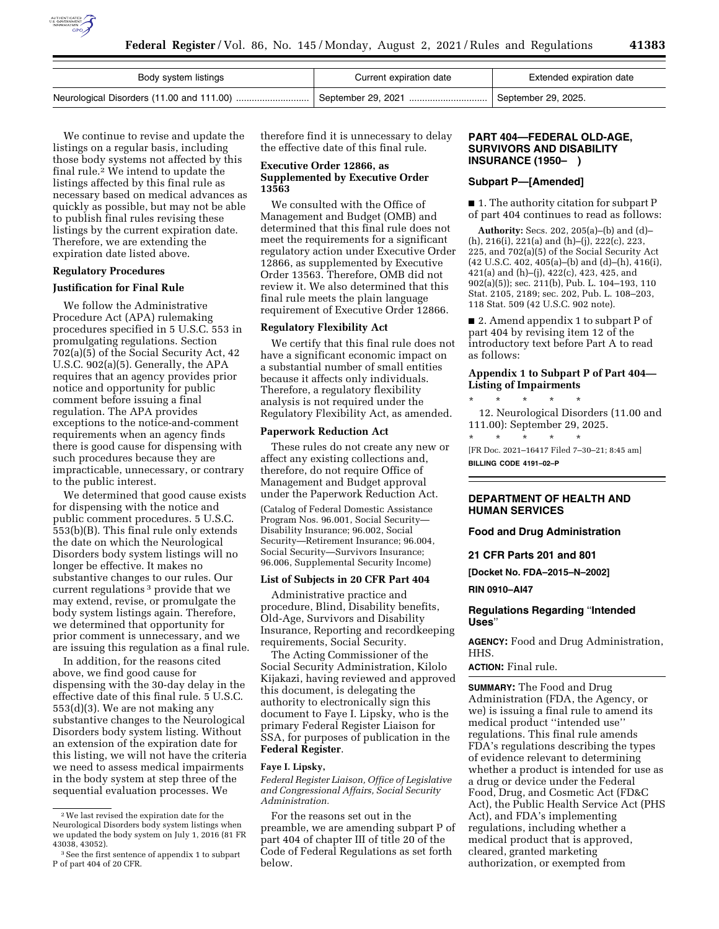

| Body system listings | Current expiration date | Extended expiration date |
|----------------------|-------------------------|--------------------------|
|                      |                         | September 29, 2025.      |

We continue to revise and update the listings on a regular basis, including those body systems not affected by this final rule.<sup>2</sup> We intend to update the listings affected by this final rule as necessary based on medical advances as quickly as possible, but may not be able to publish final rules revising these listings by the current expiration date. Therefore, we are extending the expiration date listed above.

### **Regulatory Procedures**

#### **Justification for Final Rule**

We follow the Administrative Procedure Act (APA) rulemaking procedures specified in 5 U.S.C. 553 in promulgating regulations. Section 702(a)(5) of the Social Security Act, 42 U.S.C. 902(a)(5). Generally, the APA requires that an agency provides prior notice and opportunity for public comment before issuing a final regulation. The APA provides exceptions to the notice-and-comment requirements when an agency finds there is good cause for dispensing with such procedures because they are impracticable, unnecessary, or contrary to the public interest.

We determined that good cause exists for dispensing with the notice and public comment procedures. 5 U.S.C. 553(b)(B). This final rule only extends the date on which the Neurological Disorders body system listings will no longer be effective. It makes no substantive changes to our rules. Our current regulations 3 provide that we may extend, revise, or promulgate the body system listings again. Therefore, we determined that opportunity for prior comment is unnecessary, and we are issuing this regulation as a final rule.

In addition, for the reasons cited above, we find good cause for dispensing with the 30-day delay in the effective date of this final rule. 5 U.S.C. 553(d)(3). We are not making any substantive changes to the Neurological Disorders body system listing. Without an extension of the expiration date for this listing, we will not have the criteria we need to assess medical impairments in the body system at step three of the sequential evaluation processes. We

therefore find it is unnecessary to delay the effective date of this final rule.

#### **Executive Order 12866, as Supplemented by Executive Order 13563**

We consulted with the Office of Management and Budget (OMB) and determined that this final rule does not meet the requirements for a significant regulatory action under Executive Order 12866, as supplemented by Executive Order 13563. Therefore, OMB did not review it. We also determined that this final rule meets the plain language requirement of Executive Order 12866.

#### **Regulatory Flexibility Act**

We certify that this final rule does not have a significant economic impact on a substantial number of small entities because it affects only individuals. Therefore, a regulatory flexibility analysis is not required under the Regulatory Flexibility Act, as amended.

#### **Paperwork Reduction Act**

These rules do not create any new or affect any existing collections and, therefore, do not require Office of Management and Budget approval under the Paperwork Reduction Act.

(Catalog of Federal Domestic Assistance Program Nos. 96.001, Social Security— Disability Insurance; 96.002, Social Security—Retirement Insurance; 96.004, Social Security—Survivors Insurance; 96.006, Supplemental Security Income)

#### **List of Subjects in 20 CFR Part 404**

Administrative practice and procedure, Blind, Disability benefits, Old-Age, Survivors and Disability Insurance, Reporting and recordkeeping requirements, Social Security.

The Acting Commissioner of the Social Security Administration, Kilolo Kijakazi, having reviewed and approved this document, is delegating the authority to electronically sign this document to Faye I. Lipsky, who is the primary Federal Register Liaison for SSA, for purposes of publication in the **Federal Register**.

#### **Faye I. Lipsky,**

*Federal Register Liaison, Office of Legislative and Congressional Affairs, Social Security Administration.* 

For the reasons set out in the preamble, we are amending subpart P of part 404 of chapter III of title 20 of the Code of Federal Regulations as set forth below.

#### **PART 404—FEDERAL OLD-AGE, SURVIVORS AND DISABILITY INSURANCE (1950– )**

#### **Subpart P—[Amended]**

■ 1. The authority citation for subpart P of part 404 continues to read as follows:

**Authority:** Secs. 202, 205(a)–(b) and (d)– (h), 216(i), 221(a) and (h)–(j), 222(c), 223, 225, and 702(a)(5) of the Social Security Act (42 U.S.C. 402, 405(a)–(b) and (d)–(h), 416(i), 421(a) and (h)–(j), 422(c), 423, 425, and 902(a)(5)); sec. 211(b), Pub. L. 104–193, 110 Stat. 2105, 2189; sec. 202, Pub. L. 108–203, 118 Stat. 509 (42 U.S.C. 902 note).

■ 2. Amend appendix 1 to subpart P of part 404 by revising item 12 of the introductory text before Part A to read as follows:

#### **Appendix 1 to Subpart P of Part 404— Listing of Impairments**

\* \* \* \* \* 12. Neurological Disorders (11.00 and 111.00): September 29, 2025. \* \* \* \* \*

[FR Doc. 2021–16417 Filed 7–30–21; 8:45 am] **BILLING CODE 4191–02–P** 

#### **DEPARTMENT OF HEALTH AND HUMAN SERVICES**

#### **Food and Drug Administration**

**21 CFR Parts 201 and 801** 

**[Docket No. FDA–2015–N–2002]** 

**RIN 0910–AI47** 

#### **Regulations Regarding** ''**Intended Uses**''

**AGENCY:** Food and Drug Administration, HHS.

#### **ACTION:** Final rule.

**SUMMARY:** The Food and Drug Administration (FDA, the Agency, or we) is issuing a final rule to amend its medical product ''intended use'' regulations. This final rule amends FDA's regulations describing the types of evidence relevant to determining whether a product is intended for use as a drug or device under the Federal Food, Drug, and Cosmetic Act (FD&C Act), the Public Health Service Act (PHS Act), and FDA's implementing regulations, including whether a medical product that is approved, cleared, granted marketing authorization, or exempted from

<sup>2</sup>We last revised the expiration date for the Neurological Disorders body system listings when we updated the body system on July 1, 2016 (81 FR 43038, 43052).

<sup>3</sup>See the first sentence of appendix 1 to subpart P of part 404 of 20 CFR.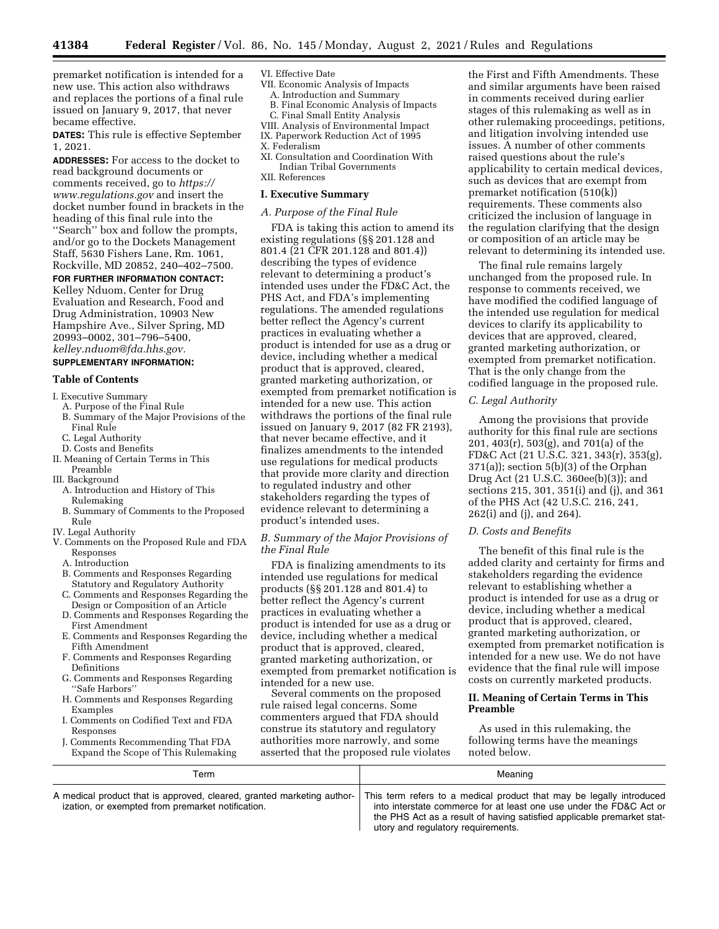premarket notification is intended for a new use. This action also withdraws and replaces the portions of a final rule issued on January 9, 2017, that never became effective.

**DATES:** This rule is effective September 1, 2021.

**ADDRESSES:** For access to the docket to read background documents or comments received, go to *[https://](https://www.regulations.gov) [www.regulations.gov](https://www.regulations.gov)* and insert the docket number found in brackets in the heading of this final rule into the ''Search'' box and follow the prompts, and/or go to the Dockets Management Staff, 5630 Fishers Lane, Rm. 1061, Rockville, MD 20852, 240–402–7500.

#### **FOR FURTHER INFORMATION CONTACT:**

Kelley Nduom, Center for Drug Evaluation and Research, Food and Drug Administration, 10903 New Hampshire Ave., Silver Spring, MD 20993–0002, 301–796–5400, *[kelley.nduom@fda.hhs.gov.](mailto:kelley.nduom@fda.hhs.gov)* 

#### **SUPPLEMENTARY INFORMATION:**

#### **Table of Contents**

- I. Executive Summary
	- A. Purpose of the Final Rule
	- B. Summary of the Major Provisions of the
	- Final Rule
	- C. Legal Authority
- D. Costs and Benefits
- II. Meaning of Certain Terms in This Preamble
- III. Background
- A. Introduction and History of This Rulemaking
- B. Summary of Comments to the Proposed Rule
- IV. Legal Authority
- V. Comments on the Proposed Rule and FDA Responses
	- A. Introduction
	- B. Comments and Responses Regarding Statutory and Regulatory Authority
	- C. Comments and Responses Regarding the Design or Composition of an Article
	- D. Comments and Responses Regarding the First Amendment
	- E. Comments and Responses Regarding the Fifth Amendment
	- F. Comments and Responses Regarding Definitions
	- G. Comments and Responses Regarding ''Safe Harbors''
	- H. Comments and Responses Regarding Examples
	- I. Comments on Codified Text and FDA Responses
	- Comments Recommending That FDA Expand the Scope of This Rulemaking

#### VI. Effective Date

- VII. Economic Analysis of Impacts
- A. Introduction and Summary B. Final Economic Analysis of Impacts
- C. Final Small Entity Analysis
- VIII. Analysis of Environmental Impact
- IX. Paperwork Reduction Act of 1995 X. Federalism
- XI. Consultation and Coordination With Indian Tribal Governments XII. References

### **I. Executive Summary**

#### *A. Purpose of the Final Rule*

FDA is taking this action to amend its existing regulations (§§ 201.128 and 801.4 (21 CFR 201.128 and 801.4)) describing the types of evidence relevant to determining a product's intended uses under the FD&C Act, the PHS Act, and FDA's implementing regulations. The amended regulations better reflect the Agency's current practices in evaluating whether a product is intended for use as a drug or device, including whether a medical product that is approved, cleared, granted marketing authorization, or exempted from premarket notification is intended for a new use. This action withdraws the portions of the final rule issued on January 9, 2017 (82 FR 2193), that never became effective, and it finalizes amendments to the intended use regulations for medical products that provide more clarity and direction to regulated industry and other stakeholders regarding the types of evidence relevant to determining a product's intended uses.

#### *B. Summary of the Major Provisions of the Final Rule*

FDA is finalizing amendments to its intended use regulations for medical products (§§ 201.128 and 801.4) to better reflect the Agency's current practices in evaluating whether a product is intended for use as a drug or device, including whether a medical product that is approved, cleared, granted marketing authorization, or exempted from premarket notification is intended for a new use.

Several comments on the proposed rule raised legal concerns. Some commenters argued that FDA should construe its statutory and regulatory authorities more narrowly, and some asserted that the proposed rule violates

the First and Fifth Amendments. These and similar arguments have been raised in comments received during earlier stages of this rulemaking as well as in other rulemaking proceedings, petitions, and litigation involving intended use issues. A number of other comments raised questions about the rule's applicability to certain medical devices, such as devices that are exempt from premarket notification (510(k)) requirements. These comments also criticized the inclusion of language in the regulation clarifying that the design or composition of an article may be relevant to determining its intended use.

The final rule remains largely unchanged from the proposed rule. In response to comments received, we have modified the codified language of the intended use regulation for medical devices to clarify its applicability to devices that are approved, cleared, granted marketing authorization, or exempted from premarket notification. That is the only change from the codified language in the proposed rule.

#### *C. Legal Authority*

Among the provisions that provide authority for this final rule are sections 201, 403(r), 503(g), and 701(a) of the FD&C Act (21 U.S.C. 321, 343(r), 353(g), 371(a)); section 5(b)(3) of the Orphan Drug Act (21 U.S.C. 360ee(b)(3)); and sections 215, 301, 351(i) and (j), and 361 of the PHS Act (42 U.S.C. 216, 241, 262(i) and (j), and 264).

#### *D. Costs and Benefits*

The benefit of this final rule is the added clarity and certainty for firms and stakeholders regarding the evidence relevant to establishing whether a product is intended for use as a drug or device, including whether a medical product that is approved, cleared, granted marketing authorization, or exempted from premarket notification is intended for a new use. We do not have evidence that the final rule will impose costs on currently marketed products.

#### **II. Meaning of Certain Terms in This Preamble**

As used in this rulemaking, the following terms have the meanings noted below.

| Term                                                                                                                        | Meaning                                                                                                                                                                                                                                                     |
|-----------------------------------------------------------------------------------------------------------------------------|-------------------------------------------------------------------------------------------------------------------------------------------------------------------------------------------------------------------------------------------------------------|
| A medical product that is approved, cleared, granted marketing author-<br>ization, or exempted from premarket notification. | This term refers to a medical product that may be legally introduced<br>into interstate commerce for at least one use under the FD&C Act or<br>the PHS Act as a result of having satisfied applicable premarket stat-<br>utory and regulatory requirements. |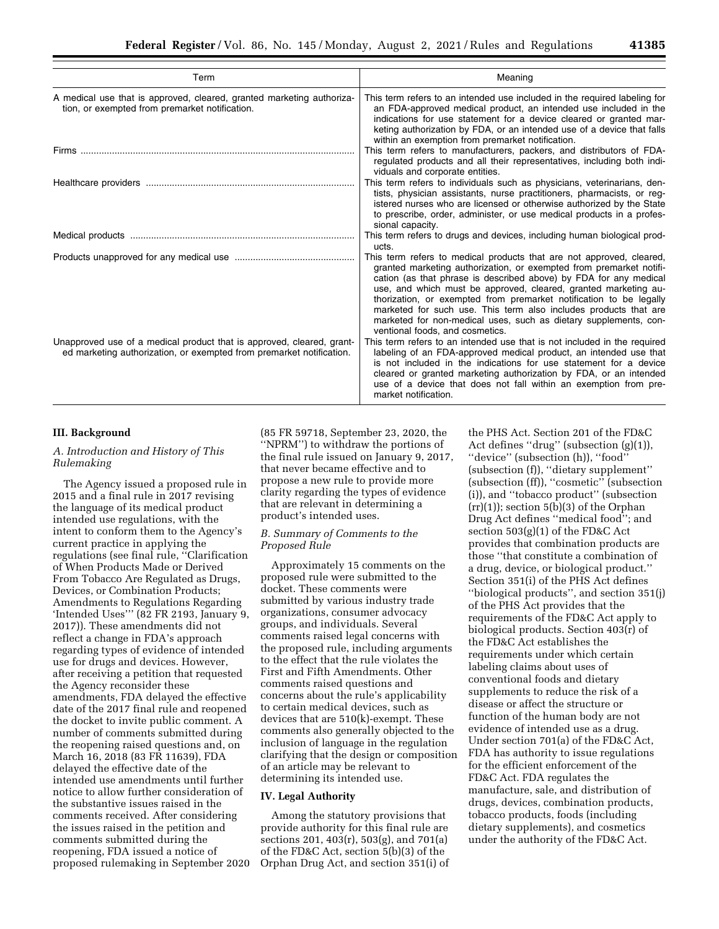| Term                                                                                                                                          | Meaning                                                                                                                                                                                                                                                                                                                                                                                                                                                                                                                              |
|-----------------------------------------------------------------------------------------------------------------------------------------------|--------------------------------------------------------------------------------------------------------------------------------------------------------------------------------------------------------------------------------------------------------------------------------------------------------------------------------------------------------------------------------------------------------------------------------------------------------------------------------------------------------------------------------------|
| A medical use that is approved, cleared, granted marketing authoriza-<br>tion, or exempted from premarket notification.                       | This term refers to an intended use included in the required labeling for<br>an FDA-approved medical product, an intended use included in the<br>indications for use statement for a device cleared or granted mar-<br>keting authorization by FDA, or an intended use of a device that falls<br>within an exemption from premarket notification.                                                                                                                                                                                    |
|                                                                                                                                               | This term refers to manufacturers, packers, and distributors of FDA-<br>regulated products and all their representatives, including both indi-<br>viduals and corporate entities.                                                                                                                                                                                                                                                                                                                                                    |
|                                                                                                                                               | This term refers to individuals such as physicians, veterinarians, den-<br>tists, physician assistants, nurse practitioners, pharmacists, or reg-<br>istered nurses who are licensed or otherwise authorized by the State<br>to prescribe, order, administer, or use medical products in a profes-<br>sional capacity.                                                                                                                                                                                                               |
|                                                                                                                                               | This term refers to drugs and devices, including human biological prod-<br>ucts.                                                                                                                                                                                                                                                                                                                                                                                                                                                     |
|                                                                                                                                               | This term refers to medical products that are not approved, cleared,<br>granted marketing authorization, or exempted from premarket notifi-<br>cation (as that phrase is described above) by FDA for any medical<br>use, and which must be approved, cleared, granted marketing au-<br>thorization, or exempted from premarket notification to be legally<br>marketed for such use. This term also includes products that are<br>marketed for non-medical uses, such as dietary supplements, con-<br>ventional foods, and cosmetics. |
| Unapproved use of a medical product that is approved, cleared, grant-<br>ed marketing authorization, or exempted from premarket notification. | This term refers to an intended use that is not included in the required<br>labeling of an FDA-approved medical product, an intended use that<br>is not included in the indications for use statement for a device<br>cleared or granted marketing authorization by FDA, or an intended<br>use of a device that does not fall within an exemption from pre-<br>market notification.                                                                                                                                                  |

#### **III. Background**

#### *A. Introduction and History of This Rulemaking*

The Agency issued a proposed rule in 2015 and a final rule in 2017 revising the language of its medical product intended use regulations, with the intent to conform them to the Agency's current practice in applying the regulations (see final rule, ''Clarification of When Products Made or Derived From Tobacco Are Regulated as Drugs, Devices, or Combination Products; Amendments to Regulations Regarding 'Intended Uses''' (82 FR 2193, January 9, 2017)). These amendments did not reflect a change in FDA's approach regarding types of evidence of intended use for drugs and devices. However, after receiving a petition that requested the Agency reconsider these amendments, FDA delayed the effective date of the 2017 final rule and reopened the docket to invite public comment. A number of comments submitted during the reopening raised questions and, on March 16, 2018 (83 FR 11639), FDA delayed the effective date of the intended use amendments until further notice to allow further consideration of the substantive issues raised in the comments received. After considering the issues raised in the petition and comments submitted during the reopening, FDA issued a notice of proposed rulemaking in September 2020 (85 FR 59718, September 23, 2020, the ''NPRM'') to withdraw the portions of the final rule issued on January 9, 2017, that never became effective and to propose a new rule to provide more clarity regarding the types of evidence that are relevant in determining a product's intended uses.

#### *B. Summary of Comments to the Proposed Rule*

Approximately 15 comments on the proposed rule were submitted to the docket. These comments were submitted by various industry trade organizations, consumer advocacy groups, and individuals. Several comments raised legal concerns with the proposed rule, including arguments to the effect that the rule violates the First and Fifth Amendments. Other comments raised questions and concerns about the rule's applicability to certain medical devices, such as devices that are 510(k)-exempt. These comments also generally objected to the inclusion of language in the regulation clarifying that the design or composition of an article may be relevant to determining its intended use.

#### **IV. Legal Authority**

Among the statutory provisions that provide authority for this final rule are sections 201, 403(r), 503(g), and 701(a) of the FD&C Act, section 5(b)(3) of the Orphan Drug Act, and section 351(i) of

the PHS Act. Section 201 of the FD&C Act defines "drug" (subsection (g)(1)), ''device'' (subsection (h)), ''food'' (subsection (f)), ''dietary supplement'' (subsection (ff)), ''cosmetic'' (subsection (i)), and ''tobacco product'' (subsection  $(rr)(1)$ ; section 5(b)(3) of the Orphan Drug Act defines ''medical food''; and section 503(g)(1) of the FD&C Act provides that combination products are those ''that constitute a combination of a drug, device, or biological product.'' Section 351(i) of the PHS Act defines ''biological products'', and section 351(j) of the PHS Act provides that the requirements of the FD&C Act apply to biological products. Section 403(r) of the FD&C Act establishes the requirements under which certain labeling claims about uses of conventional foods and dietary supplements to reduce the risk of a disease or affect the structure or function of the human body are not evidence of intended use as a drug. Under section 701(a) of the FD&C Act, FDA has authority to issue regulations for the efficient enforcement of the FD&C Act. FDA regulates the manufacture, sale, and distribution of drugs, devices, combination products, tobacco products, foods (including dietary supplements), and cosmetics under the authority of the FD&C Act.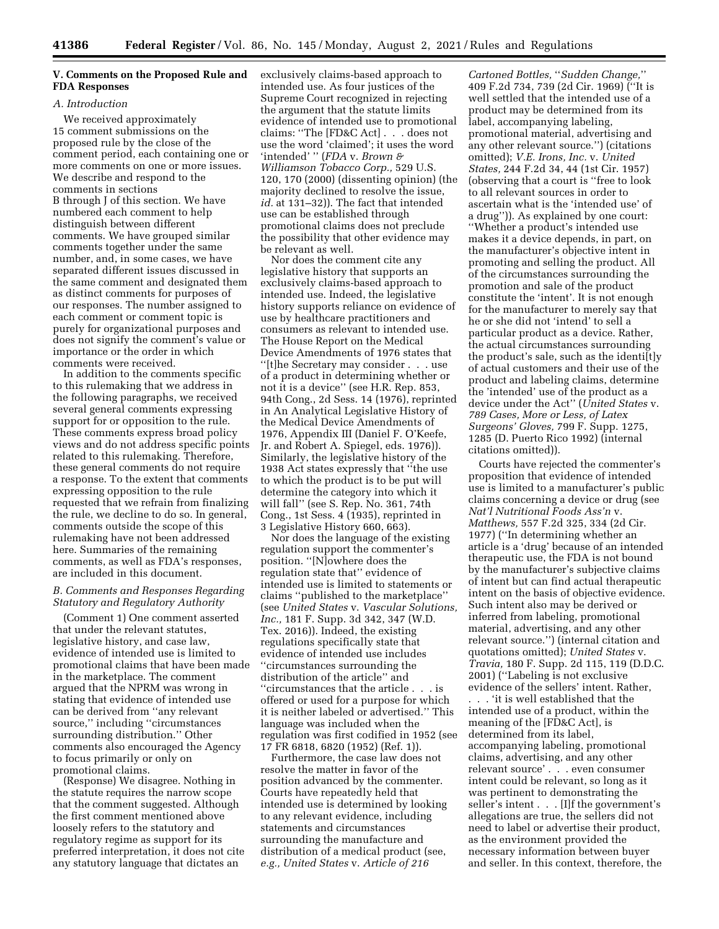#### **V. Comments on the Proposed Rule and FDA Responses**

#### *A. Introduction*

We received approximately 15 comment submissions on the proposed rule by the close of the comment period, each containing one or more comments on one or more issues. We describe and respond to the comments in sections B through J of this section. We have numbered each comment to help distinguish between different comments. We have grouped similar comments together under the same number, and, in some cases, we have separated different issues discussed in the same comment and designated them as distinct comments for purposes of our responses. The number assigned to each comment or comment topic is purely for organizational purposes and does not signify the comment's value or importance or the order in which comments were received.

In addition to the comments specific to this rulemaking that we address in the following paragraphs, we received several general comments expressing support for or opposition to the rule. These comments express broad policy views and do not address specific points related to this rulemaking. Therefore, these general comments do not require a response. To the extent that comments expressing opposition to the rule requested that we refrain from finalizing the rule, we decline to do so. In general, comments outside the scope of this rulemaking have not been addressed here. Summaries of the remaining comments, as well as FDA's responses, are included in this document.

#### *B. Comments and Responses Regarding Statutory and Regulatory Authority*

(Comment 1) One comment asserted that under the relevant statutes, legislative history, and case law, evidence of intended use is limited to promotional claims that have been made in the marketplace. The comment argued that the NPRM was wrong in stating that evidence of intended use can be derived from ''any relevant source,'' including ''circumstances surrounding distribution.'' Other comments also encouraged the Agency to focus primarily or only on promotional claims.

(Response) We disagree. Nothing in the statute requires the narrow scope that the comment suggested. Although the first comment mentioned above loosely refers to the statutory and regulatory regime as support for its preferred interpretation, it does not cite any statutory language that dictates an

exclusively claims-based approach to intended use. As four justices of the Supreme Court recognized in rejecting the argument that the statute limits evidence of intended use to promotional claims: ''The [FD&C Act] . . . does not use the word 'claimed'; it uses the word 'intended' '' (*FDA* v. *Brown & Williamson Tobacco Corp.,* 529 U.S. 120, 170 (2000) (dissenting opinion) (the majority declined to resolve the issue, *id.* at 131–32)). The fact that intended use can be established through promotional claims does not preclude the possibility that other evidence may be relevant as well.

Nor does the comment cite any legislative history that supports an exclusively claims-based approach to intended use. Indeed, the legislative history supports reliance on evidence of use by healthcare practitioners and consumers as relevant to intended use. The House Report on the Medical Device Amendments of 1976 states that ''[t]he Secretary may consider . . . use of a product in determining whether or not it is a device'' (see H.R. Rep. 853, 94th Cong., 2d Sess. 14 (1976), reprinted in An Analytical Legislative History of the Medical Device Amendments of 1976, Appendix III (Daniel F. O'Keefe, Jr. and Robert A. Spiegel, eds. 1976)). Similarly, the legislative history of the 1938 Act states expressly that ''the use to which the product is to be put will determine the category into which it will fall'' (see S. Rep. No. 361, 74th Cong., 1st Sess. 4 (1935), reprinted in 3 Legislative History 660, 663).

Nor does the language of the existing regulation support the commenter's position. ''[N]owhere does the regulation state that'' evidence of intended use is limited to statements or claims ''published to the marketplace'' (see *United States* v. *Vascular Solutions, Inc.,* 181 F. Supp. 3d 342, 347 (W.D. Tex. 2016)). Indeed, the existing regulations specifically state that evidence of intended use includes ''circumstances surrounding the distribution of the article'' and ''circumstances that the article . . . is offered or used for a purpose for which it is neither labeled or advertised.'' This language was included when the regulation was first codified in 1952 (see 17 FR 6818, 6820 (1952) (Ref. 1)).

Furthermore, the case law does not resolve the matter in favor of the position advanced by the commenter. Courts have repeatedly held that intended use is determined by looking to any relevant evidence, including statements and circumstances surrounding the manufacture and distribution of a medical product (see, *e.g., United States* v. *Article of 216* 

*Cartoned Bottles,* ''*Sudden Change,*'' 409 F.2d 734, 739 (2d Cir. 1969) (''It is well settled that the intended use of a product may be determined from its label, accompanying labeling, promotional material, advertising and any other relevant source.'') (citations omitted); *V.E. Irons, Inc.* v. *United States,* 244 F.2d 34, 44 (1st Cir. 1957) (observing that a court is ''free to look to all relevant sources in order to ascertain what is the 'intended use' of a drug'')). As explained by one court: ''Whether a product's intended use makes it a device depends, in part, on the manufacturer's objective intent in promoting and selling the product. All of the circumstances surrounding the promotion and sale of the product constitute the 'intent'. It is not enough for the manufacturer to merely say that he or she did not 'intend' to sell a particular product as a device. Rather, the actual circumstances surrounding the product's sale, such as the identi[t]y of actual customers and their use of the product and labeling claims, determine the 'intended' use of the product as a device under the Act'' (*United States* v. *789 Cases, More or Less, of Latex Surgeons' Gloves,* 799 F. Supp. 1275, 1285 (D. Puerto Rico 1992) (internal citations omitted)).

Courts have rejected the commenter's proposition that evidence of intended use is limited to a manufacturer's public claims concerning a device or drug (see *Nat'l Nutritional Foods Ass'n* v. *Matthews,* 557 F.2d 325, 334 (2d Cir. 1977) (''In determining whether an article is a 'drug' because of an intended therapeutic use, the FDA is not bound by the manufacturer's subjective claims of intent but can find actual therapeutic intent on the basis of objective evidence. Such intent also may be derived or inferred from labeling, promotional material, advertising, and any other relevant source.'') (internal citation and quotations omitted); *United States* v. *Travia,* 180 F. Supp. 2d 115, 119 (D.D.C. 2001) (''Labeling is not exclusive evidence of the sellers' intent. Rather,

. . . 'it is well established that the intended use of a product, within the meaning of the [FD&C Act], is determined from its label, accompanying labeling, promotional claims, advertising, and any other relevant source' . . . even consumer intent could be relevant, so long as it was pertinent to demonstrating the seller's intent . . . [I]f the government's allegations are true, the sellers did not need to label or advertise their product, as the environment provided the necessary information between buyer and seller. In this context, therefore, the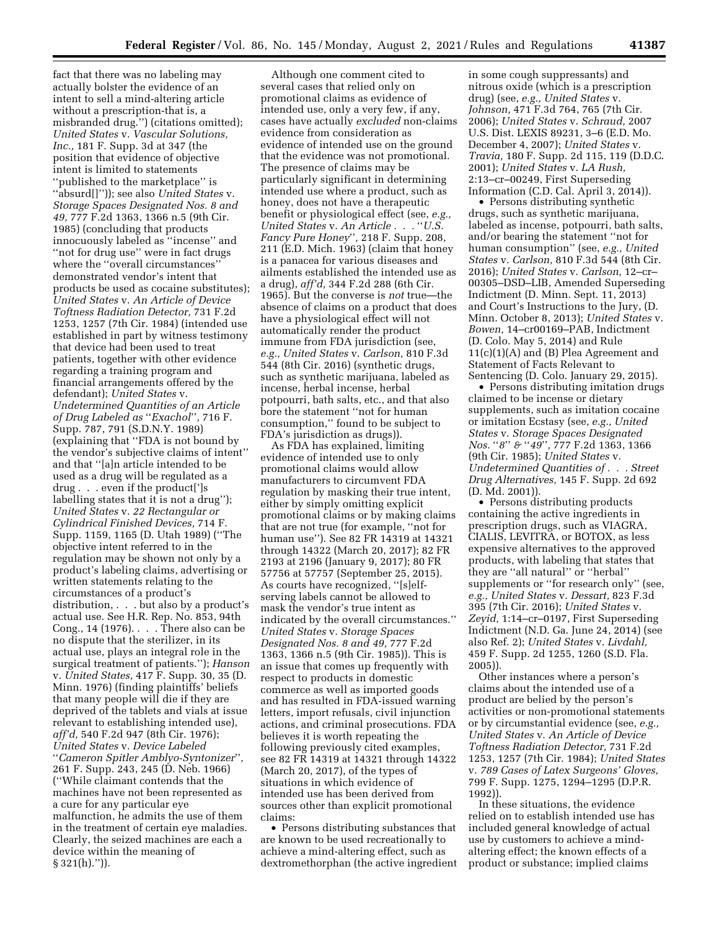fact that there was no labeling may actually bolster the evidence of an intent to sell a mind-altering article without a prescription-that is, a misbranded drug.'') (citations omitted); *United States* v. *Vascular Solutions, Inc.,* 181 F. Supp. 3d at 347 (the position that evidence of objective intent is limited to statements ''published to the marketplace'' is ''absurd[]'')); see also *United States* v. *Storage Spaces Designated Nos. 8 and 49,* 777 F.2d 1363, 1366 n.5 (9th Cir. 1985) (concluding that products innocuously labeled as ''incense'' and ''not for drug use'' were in fact drugs where the ''overall circumstances'' demonstrated vendor's intent that products be used as cocaine substitutes); *United States* v. *An Article of Device Toftness Radiation Detector,* 731 F.2d 1253, 1257 (7th Cir. 1984) (intended use established in part by witness testimony that device had been used to treat patients, together with other evidence regarding a training program and financial arrangements offered by the defendant); *United States* v. *Undetermined Quantities of an Article of Drug Labeled as* ''*Exachol*''*,* 716 F. Supp. 787, 791 (S.D.N.Y. 1989) (explaining that ''FDA is not bound by the vendor's subjective claims of intent'' and that ''[a]n article intended to be used as a drug will be regulated as a drug . . . even if the product[']s labelling states that it is not a drug''); *United States* v. *22 Rectangular or Cylindrical Finished Devices,* 714 F. Supp. 1159, 1165 (D. Utah 1989) (''The objective intent referred to in the regulation may be shown not only by a product's labeling claims, advertising or written statements relating to the circumstances of a product's distribution, . . . but also by a product's actual use. See H.R. Rep. No. 853, 94th Cong., 14 (1976). . . . There also can be no dispute that the sterilizer, in its actual use, plays an integral role in the surgical treatment of patients.''); *Hanson*  v. *United States,* 417 F. Supp. 30, 35 (D. Minn. 1976) (finding plaintiffs' beliefs that many people will die if they are deprived of the tablets and vials at issue relevant to establishing intended use), *aff'd,* 540 F.2d 947 (8th Cir. 1976); *United States* v. *Device Labeled*  ''*Cameron Spitler Amblyo-Syntonizer*''*,*  261 F. Supp. 243, 245 (D. Neb. 1966) (''While claimant contends that the machines have not been represented as a cure for any particular eye malfunction, he admits the use of them in the treatment of certain eye maladies. Clearly, the seized machines are each a device within the meaning of § 321(h).'')).

Although one comment cited to several cases that relied only on promotional claims as evidence of intended use, only a very few, if any, cases have actually *excluded* non-claims evidence from consideration as evidence of intended use on the ground that the evidence was not promotional. The presence of claims may be particularly significant in determining intended use where a product, such as honey, does not have a therapeutic benefit or physiological effect (see, *e.g., United States* v. *An Article . . .* ''*U.S. Fancy Pure Honey*''*,* 218 F. Supp. 208, 211 (E.D. Mich. 1963) (claim that honey is a panacea for various diseases and ailments established the intended use as a drug), *aff'd,* 344 F.2d 288 (6th Cir. 1965). But the converse is *not* true—the absence of claims on a product that does have a physiological effect will not automatically render the product immune from FDA jurisdiction (see, *e.g., United States* v. *Carlson,* 810 F.3d 544 (8th Cir. 2016) (synthetic drugs, such as synthetic marijuana, labeled as incense, herbal incense, herbal potpourri, bath salts, etc., and that also bore the statement ''not for human consumption,'' found to be subject to FDA's jurisdiction as drugs)).

As FDA has explained, limiting evidence of intended use to only promotional claims would allow manufacturers to circumvent FDA regulation by masking their true intent, either by simply omitting explicit promotional claims or by making claims that are not true (for example, ''not for human use''). See 82 FR 14319 at 14321 through 14322 (March 20, 2017); 82 FR 2193 at 2196 (January 9, 2017); 80 FR 57756 at 57757 (September 25, 2015). As courts have recognized, ''[s]elfserving labels cannot be allowed to mask the vendor's true intent as indicated by the overall circumstances.'' *United States* v. *Storage Spaces Designated Nos. 8 and 49,* 777 F.2d 1363, 1366 n.5 (9th Cir. 1985)). This is an issue that comes up frequently with respect to products in domestic commerce as well as imported goods and has resulted in FDA-issued warning letters, import refusals, civil injunction actions, and criminal prosecutions. FDA believes it is worth repeating the following previously cited examples, see 82 FR 14319 at 14321 through 14322 (March 20, 2017), of the types of situations in which evidence of intended use has been derived from sources other than explicit promotional claims:

• Persons distributing substances that are known to be used recreationally to achieve a mind-altering effect, such as dextromethorphan (the active ingredient

in some cough suppressants) and nitrous oxide (which is a prescription drug) (see, *e.g., United States* v. *Johnson,* 471 F.3d 764, 765 (7th Cir. 2006); *United States* v. *Schraud,* 2007 U.S. Dist. LEXIS 89231, 3–6 (E.D. Mo. December 4, 2007); *United States* v. *Travia,* 180 F. Supp. 2d 115, 119 (D.D.C. 2001); *United States* v. *LA Rush,*  2:13–cr–00249, First Superseding Information (C.D. Cal. April 3, 2014)).

• Persons distributing synthetic drugs, such as synthetic marijuana, labeled as incense, potpourri, bath salts, and/or bearing the statement ''not for human consumption'' (see, *e.g., United States* v. *Carlson,* 810 F.3d 544 (8th Cir. 2016); *United States* v. *Carlson,* 12–cr– 00305–DSD–LIB, Amended Superseding Indictment (D. Minn. Sept. 11, 2013) and Court's Instructions to the Jury, (D. Minn. October 8, 2013); *United States* v. *Bowen,* 14–cr00169–PAB, Indictment (D. Colo. May 5, 2014) and Rule 11(c)(1)(A) and (B) Plea Agreement and Statement of Facts Relevant to Sentencing (D. Colo. January 29, 2015).

• Persons distributing imitation drugs claimed to be incense or dietary supplements, such as imitation cocaine or imitation Ecstasy (see, *e.g., United States* v. *Storage Spaces Designated Nos.* ''*8*'' *&* ''*49*''*,* 777 F.2d 1363, 1366 (9th Cir. 1985); *United States* v. *Undetermined Quantities of . . . Street Drug Alternatives,* 145 F. Supp. 2d 692 (D. Md. 2001)).

• Persons distributing products containing the active ingredients in prescription drugs, such as VIAGRA, CIALIS, LEVITRA, or BOTOX, as less expensive alternatives to the approved products, with labeling that states that they are ''all natural'' or ''herbal'' supplements or ''for research only'' (see, *e.g., United States* v. *Dessart,* 823 F.3d 395 (7th Cir. 2016); *United States* v. *Zeyid,* 1:14–cr–0197, First Superseding Indictment (N.D. Ga. June 24, 2014) (see also Ref. 2); *United States* v. *Livdahl,*  459 F. Supp. 2d 1255, 1260 (S.D. Fla. 2005)).

Other instances where a person's claims about the intended use of a product are belied by the person's activities or non-promotional statements or by circumstantial evidence (see, *e.g., United States* v. *An Article of Device Toftness Radiation Detector,* 731 F.2d 1253, 1257 (7th Cir. 1984); *United States*  v. *789 Cases of Latex Surgeons' Gloves,*  799 F. Supp. 1275, 1294–1295 (D.P.R. 1992)).

In these situations, the evidence relied on to establish intended use has included general knowledge of actual use by customers to achieve a mindaltering effect; the known effects of a product or substance; implied claims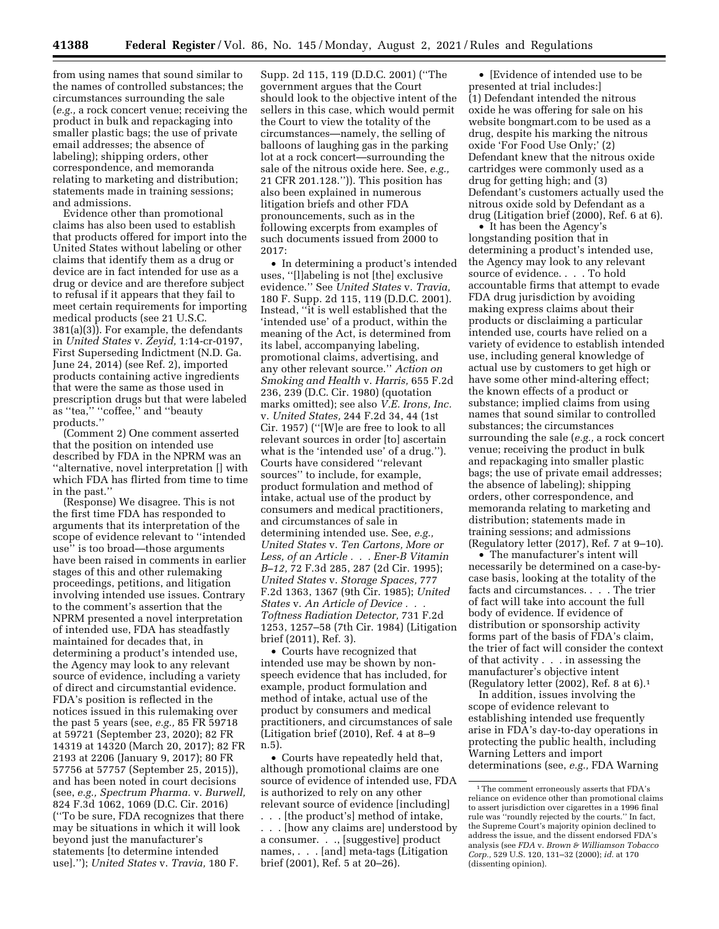from using names that sound similar to the names of controlled substances; the circumstances surrounding the sale (*e.g.,* a rock concert venue; receiving the product in bulk and repackaging into smaller plastic bags; the use of private email addresses; the absence of labeling); shipping orders, other correspondence, and memoranda relating to marketing and distribution; statements made in training sessions; and admissions.

Evidence other than promotional claims has also been used to establish that products offered for import into the United States without labeling or other claims that identify them as a drug or device are in fact intended for use as a drug or device and are therefore subject to refusal if it appears that they fail to meet certain requirements for importing medical products (see 21 U.S.C. 381(a)(3)). For example, the defendants in *United States* v. *Zeyid,* 1:14-cr-0197, First Superseding Indictment (N.D. Ga. June 24, 2014) (see Ref. 2), imported products containing active ingredients that were the same as those used in prescription drugs but that were labeled as "tea," "coffee," and "beauty products.''

(Comment 2) One comment asserted that the position on intended use described by FDA in the NPRM was an ''alternative, novel interpretation [] with which FDA has flirted from time to time in the past.''

(Response) We disagree. This is not the first time FDA has responded to arguments that its interpretation of the scope of evidence relevant to ''intended use'' is too broad—those arguments have been raised in comments in earlier stages of this and other rulemaking proceedings, petitions, and litigation involving intended use issues. Contrary to the comment's assertion that the NPRM presented a novel interpretation of intended use, FDA has steadfastly maintained for decades that, in determining a product's intended use, the Agency may look to any relevant source of evidence, including a variety of direct and circumstantial evidence. FDA's position is reflected in the notices issued in this rulemaking over the past 5 years (see, *e.g.,* 85 FR 59718 at 59721 (September 23, 2020); 82 FR 14319 at 14320 (March 20, 2017); 82 FR 2193 at 2206 (January 9, 2017); 80 FR 57756 at 57757 (September 25, 2015)), and has been noted in court decisions (see, *e.g., Spectrum Pharma.* v. *Burwell,*  824 F.3d 1062, 1069 (D.C. Cir. 2016) (''To be sure, FDA recognizes that there may be situations in which it will look beyond just the manufacturer's statements [to determine intended use].''); *United States* v. *Travia,* 180 F.

Supp. 2d 115, 119 (D.D.C. 2001) (''The government argues that the Court should look to the objective intent of the sellers in this case, which would permit the Court to view the totality of the circumstances—namely, the selling of balloons of laughing gas in the parking lot at a rock concert—surrounding the sale of the nitrous oxide here. See, *e.g.,*  21 CFR 201.128.'')). This position has also been explained in numerous litigation briefs and other FDA pronouncements, such as in the following excerpts from examples of such documents issued from 2000 to 2017:

• In determining a product's intended uses, ''[l]abeling is not [the] exclusive evidence.'' See *United States* v. *Travia,*  180 F. Supp. 2d 115, 119 (D.D.C. 2001). Instead, ''it is well established that the 'intended use' of a product, within the meaning of the Act, is determined from its label, accompanying labeling, promotional claims, advertising, and any other relevant source.'' *Action on Smoking and Health* v. *Harris,* 655 F.2d 236, 239 (D.C. Cir. 1980) (quotation marks omitted); see also *V.E. Irons, Inc.*  v. *United States,* 244 F.2d 34, 44 (1st Cir. 1957) (''[W]e are free to look to all relevant sources in order [to] ascertain what is the 'intended use' of a drug.''). Courts have considered ''relevant sources'' to include, for example, product formulation and method of intake, actual use of the product by consumers and medical practitioners, and circumstances of sale in determining intended use. See, *e.g., United States* v. *Ten Cartons, More or Less, of an Article . . . Ener-B Vitamin B–12,* 72 F.3d 285, 287 (2d Cir. 1995); *United States* v. *Storage Spaces,* 777 F.2d 1363, 1367 (9th Cir. 1985); *United States* v. *An Article of Device . . . Toftness Radiation Detector,* 731 F.2d 1253, 1257–58 (7th Cir. 1984) (Litigation brief (2011), Ref. 3).

• Courts have recognized that intended use may be shown by nonspeech evidence that has included, for example, product formulation and method of intake, actual use of the product by consumers and medical practitioners, and circumstances of sale (Litigation brief (2010), Ref. 4 at 8–9 n.5).

• Courts have repeatedly held that, although promotional claims are one source of evidence of intended use, FDA is authorized to rely on any other relevant source of evidence [including] . . . [the product's] method of intake, . . . [how any claims are] understood by a consumer. . ., [suggestive] product names, . . . [and] meta-tags (Litigation brief (2001), Ref. 5 at 20–26).

• [Evidence of intended use to be presented at trial includes:] (1) Defendant intended the nitrous oxide he was offering for sale on his website bongmart.com to be used as a drug, despite his marking the nitrous oxide 'For Food Use Only;' (2) Defendant knew that the nitrous oxide cartridges were commonly used as a drug for getting high; and (3) Defendant's customers actually used the nitrous oxide sold by Defendant as a drug (Litigation brief (2000), Ref. 6 at 6).

• It has been the Agency's longstanding position that in determining a product's intended use, the Agency may look to any relevant source of evidence. . . . To hold accountable firms that attempt to evade FDA drug jurisdiction by avoiding making express claims about their products or disclaiming a particular intended use, courts have relied on a variety of evidence to establish intended use, including general knowledge of actual use by customers to get high or have some other mind-altering effect; the known effects of a product or substance; implied claims from using names that sound similar to controlled substances; the circumstances surrounding the sale (*e.g.,* a rock concert venue; receiving the product in bulk and repackaging into smaller plastic bags; the use of private email addresses; the absence of labeling); shipping orders, other correspondence, and memoranda relating to marketing and distribution; statements made in training sessions; and admissions (Regulatory letter (2017), Ref. 7 at 9–10).

• The manufacturer's intent will necessarily be determined on a case-bycase basis, looking at the totality of the facts and circumstances. . . . The trier of fact will take into account the full body of evidence. If evidence of distribution or sponsorship activity forms part of the basis of FDA's claim, the trier of fact will consider the context of that activity . . . in assessing the manufacturer's objective intent (Regulatory letter (2002), Ref. 8 at 6).1

In addition, issues involving the scope of evidence relevant to establishing intended use frequently arise in FDA's day-to-day operations in protecting the public health, including Warning Letters and import determinations (see, *e.g.,* FDA Warning

<sup>1</sup>The comment erroneously asserts that FDA's reliance on evidence other than promotional claims to assert jurisdiction over cigarettes in a 1996 final rule was ''roundly rejected by the courts.'' In fact, the Supreme Court's majority opinion declined to address the issue, and the dissent endorsed FDA's analysis (see *FDA* v. *Brown & Williamson Tobacco Corp.,* 529 U.S. 120, 131–32 (2000); *id.* at 170 (dissenting opinion).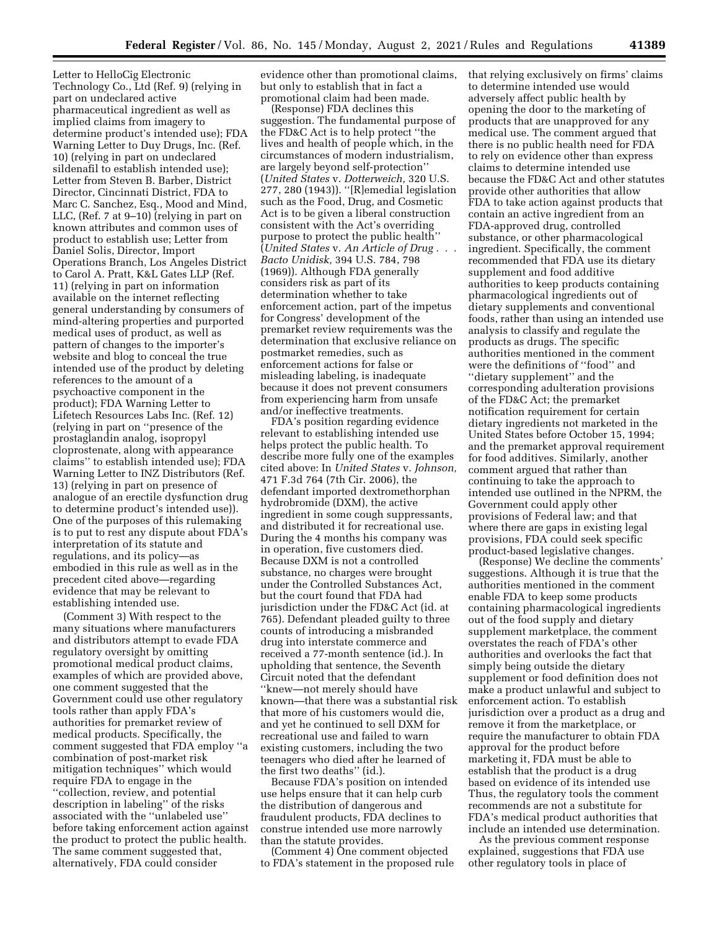Letter to HelloCig Electronic Technology Co., Ltd (Ref. 9) (relying in part on undeclared active pharmaceutical ingredient as well as implied claims from imagery to determine product's intended use); FDA Warning Letter to Duy Drugs, Inc. (Ref. 10) (relying in part on undeclared sildenafil to establish intended use); Letter from Steven B. Barber, District Director, Cincinnati District, FDA to Marc C. Sanchez, Esq., Mood and Mind, LLC, (Ref. 7 at 9–10) (relying in part on known attributes and common uses of product to establish use; Letter from Daniel Solis, Director, Import Operations Branch, Los Angeles District to Carol A. Pratt, K&L Gates LLP (Ref. 11) (relying in part on information available on the internet reflecting general understanding by consumers of mind-altering properties and purported medical uses of product, as well as pattern of changes to the importer's website and blog to conceal the true intended use of the product by deleting references to the amount of a psychoactive component in the product); FDA Warning Letter to Lifetech Resources Labs Inc. (Ref. 12) (relying in part on ''presence of the prostaglandin analog, isopropyl cloprostenate, along with appearance claims'' to establish intended use); FDA Warning Letter to INZ Distributors (Ref. 13) (relying in part on presence of analogue of an erectile dysfunction drug to determine product's intended use)). One of the purposes of this rulemaking is to put to rest any dispute about FDA's interpretation of its statute and regulations, and its policy—as embodied in this rule as well as in the precedent cited above—regarding evidence that may be relevant to establishing intended use.

(Comment 3) With respect to the many situations where manufacturers and distributors attempt to evade FDA regulatory oversight by omitting promotional medical product claims, examples of which are provided above, one comment suggested that the Government could use other regulatory tools rather than apply FDA's authorities for premarket review of medical products. Specifically, the comment suggested that FDA employ ''a combination of post-market risk mitigation techniques'' which would require FDA to engage in the ''collection, review, and potential description in labeling'' of the risks associated with the ''unlabeled use'' before taking enforcement action against the product to protect the public health. The same comment suggested that, alternatively, FDA could consider

evidence other than promotional claims, but only to establish that in fact a promotional claim had been made.

(Response) FDA declines this suggestion. The fundamental purpose of the FD&C Act is to help protect ''the lives and health of people which, in the circumstances of modern industrialism, are largely beyond self-protection'' (*United States* v. *Dotterweich,* 320 U.S. 277, 280 (1943)). ''[R]emedial legislation such as the Food, Drug, and Cosmetic Act is to be given a liberal construction consistent with the Act's overriding purpose to protect the public health'' (*United States* v. *An Article of Drug . . . Bacto Unidisk,* 394 U.S. 784, 798 (1969)). Although FDA generally considers risk as part of its determination whether to take enforcement action, part of the impetus for Congress' development of the premarket review requirements was the determination that exclusive reliance on postmarket remedies, such as enforcement actions for false or misleading labeling, is inadequate because it does not prevent consumers from experiencing harm from unsafe and/or ineffective treatments.

FDA's position regarding evidence relevant to establishing intended use helps protect the public health. To describe more fully one of the examples cited above: In *United States* v. *Johnson,*  471 F.3d 764 (7th Cir. 2006), the defendant imported dextromethorphan hydrobromide (DXM), the active ingredient in some cough suppressants, and distributed it for recreational use. During the 4 months his company was in operation, five customers died. Because DXM is not a controlled substance, no charges were brought under the Controlled Substances Act, but the court found that FDA had jurisdiction under the FD&C Act (id. at 765). Defendant pleaded guilty to three counts of introducing a misbranded drug into interstate commerce and received a 77-month sentence (id.). In upholding that sentence, the Seventh Circuit noted that the defendant ''knew—not merely should have known—that there was a substantial risk that more of his customers would die, and yet he continued to sell DXM for recreational use and failed to warn existing customers, including the two teenagers who died after he learned of the first two deaths'' (id.).

Because FDA's position on intended use helps ensure that it can help curb the distribution of dangerous and fraudulent products, FDA declines to construe intended use more narrowly than the statute provides.

(Comment 4) One comment objected to FDA's statement in the proposed rule that relying exclusively on firms' claims to determine intended use would adversely affect public health by opening the door to the marketing of products that are unapproved for any medical use. The comment argued that there is no public health need for FDA to rely on evidence other than express claims to determine intended use because the FD&C Act and other statutes provide other authorities that allow FDA to take action against products that contain an active ingredient from an FDA-approved drug, controlled substance, or other pharmacological ingredient. Specifically, the comment recommended that FDA use its dietary supplement and food additive authorities to keep products containing pharmacological ingredients out of dietary supplements and conventional foods, rather than using an intended use analysis to classify and regulate the products as drugs. The specific authorities mentioned in the comment were the definitions of ''food'' and ''dietary supplement'' and the corresponding adulteration provisions of the FD&C Act; the premarket notification requirement for certain dietary ingredients not marketed in the United States before October 15, 1994; and the premarket approval requirement for food additives. Similarly, another comment argued that rather than continuing to take the approach to intended use outlined in the NPRM, the Government could apply other provisions of Federal law; and that where there are gaps in existing legal provisions, FDA could seek specific product-based legislative changes.

(Response) We decline the comments' suggestions. Although it is true that the authorities mentioned in the comment enable FDA to keep some products containing pharmacological ingredients out of the food supply and dietary supplement marketplace, the comment overstates the reach of FDA's other authorities and overlooks the fact that simply being outside the dietary supplement or food definition does not make a product unlawful and subject to enforcement action. To establish jurisdiction over a product as a drug and remove it from the marketplace, or require the manufacturer to obtain FDA approval for the product before marketing it, FDA must be able to establish that the product is a drug based on evidence of its intended use Thus, the regulatory tools the comment recommends are not a substitute for FDA's medical product authorities that include an intended use determination.

As the previous comment response explained, suggestions that FDA use other regulatory tools in place of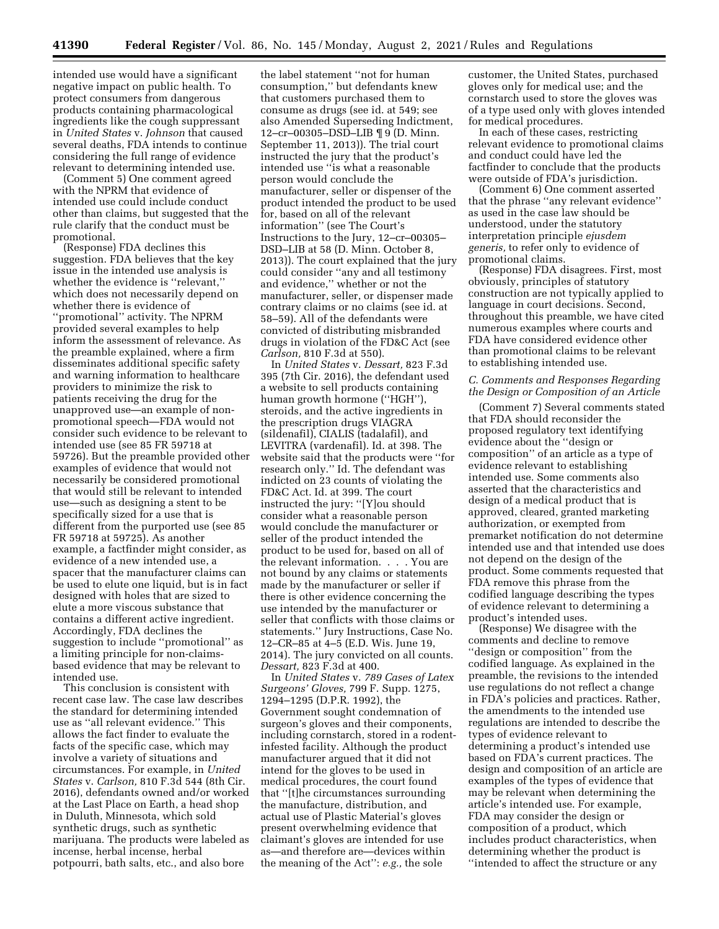intended use would have a significant negative impact on public health. To protect consumers from dangerous products containing pharmacological ingredients like the cough suppressant in *United States* v. *Johnson* that caused several deaths, FDA intends to continue considering the full range of evidence relevant to determining intended use.

(Comment 5) One comment agreed with the NPRM that evidence of intended use could include conduct other than claims, but suggested that the rule clarify that the conduct must be promotional.

(Response) FDA declines this suggestion. FDA believes that the key issue in the intended use analysis is whether the evidence is ''relevant,'' which does not necessarily depend on whether there is evidence of ''promotional'' activity. The NPRM provided several examples to help inform the assessment of relevance. As the preamble explained, where a firm disseminates additional specific safety and warning information to healthcare providers to minimize the risk to patients receiving the drug for the unapproved use—an example of nonpromotional speech—FDA would not consider such evidence to be relevant to intended use (see 85 FR 59718 at 59726). But the preamble provided other examples of evidence that would not necessarily be considered promotional that would still be relevant to intended use—such as designing a stent to be specifically sized for a use that is different from the purported use (see 85 FR 59718 at 59725). As another example, a factfinder might consider, as evidence of a new intended use, a spacer that the manufacturer claims can be used to elute one liquid, but is in fact designed with holes that are sized to elute a more viscous substance that contains a different active ingredient. Accordingly, FDA declines the suggestion to include ''promotional'' as a limiting principle for non-claimsbased evidence that may be relevant to intended use.

This conclusion is consistent with recent case law. The case law describes the standard for determining intended use as ''all relevant evidence.'' This allows the fact finder to evaluate the facts of the specific case, which may involve a variety of situations and circumstances. For example, in *United States* v. *Carlson,* 810 F.3d 544 (8th Cir. 2016), defendants owned and/or worked at the Last Place on Earth, a head shop in Duluth, Minnesota, which sold synthetic drugs, such as synthetic marijuana. The products were labeled as incense, herbal incense, herbal potpourri, bath salts, etc., and also bore

the label statement ''not for human consumption,'' but defendants knew that customers purchased them to consume as drugs (see id. at 549; see also Amended Superseding Indictment, 12–cr–00305–DSD–LIB ¶ 9 (D. Minn. September 11, 2013)). The trial court instructed the jury that the product's intended use ''is what a reasonable person would conclude the manufacturer, seller or dispenser of the product intended the product to be used for, based on all of the relevant information'' (see The Court's Instructions to the Jury, 12–cr–00305– DSD–LIB at 58 (D. Minn. October 8, 2013)). The court explained that the jury could consider ''any and all testimony and evidence,'' whether or not the manufacturer, seller, or dispenser made contrary claims or no claims (see id. at 58–59). All of the defendants were convicted of distributing misbranded drugs in violation of the FD&C Act (see *Carlson,* 810 F.3d at 550).

In *United States* v. *Dessart,* 823 F.3d 395 (7th Cir. 2016), the defendant used a website to sell products containing human growth hormone (''HGH''), steroids, and the active ingredients in the prescription drugs VIAGRA (sildenafil), CIALIS (tadalafil), and LEVITRA (vardenafil). Id. at 398. The website said that the products were ''for research only.'' Id. The defendant was indicted on 23 counts of violating the FD&C Act. Id. at 399. The court instructed the jury: ''[Y]ou should consider what a reasonable person would conclude the manufacturer or seller of the product intended the product to be used for, based on all of the relevant information. . . . You are not bound by any claims or statements made by the manufacturer or seller if there is other evidence concerning the use intended by the manufacturer or seller that conflicts with those claims or statements.'' Jury Instructions, Case No. 12–CR–85 at 4–5 (E.D. Wis. June 19, 2014). The jury convicted on all counts. *Dessart,* 823 F.3d at 400.

In *United States* v. *789 Cases of Latex Surgeons' Gloves,* 799 F. Supp. 1275, 1294–1295 (D.P.R. 1992), the Government sought condemnation of surgeon's gloves and their components, including cornstarch, stored in a rodentinfested facility. Although the product manufacturer argued that it did not intend for the gloves to be used in medical procedures, the court found that ''[t]he circumstances surrounding the manufacture, distribution, and actual use of Plastic Material's gloves present overwhelming evidence that claimant's gloves are intended for use as—and therefore are—devices within the meaning of the Act'': *e.g.,* the sole

customer, the United States, purchased gloves only for medical use; and the cornstarch used to store the gloves was of a type used only with gloves intended for medical procedures.

In each of these cases, restricting relevant evidence to promotional claims and conduct could have led the factfinder to conclude that the products were outside of FDA's jurisdiction.

(Comment 6) One comment asserted that the phrase ''any relevant evidence'' as used in the case law should be understood, under the statutory interpretation principle *ejusdem generis,* to refer only to evidence of promotional claims.

(Response) FDA disagrees. First, most obviously, principles of statutory construction are not typically applied to language in court decisions. Second, throughout this preamble, we have cited numerous examples where courts and FDA have considered evidence other than promotional claims to be relevant to establishing intended use.

#### *C. Comments and Responses Regarding the Design or Composition of an Article*

(Comment 7) Several comments stated that FDA should reconsider the proposed regulatory text identifying evidence about the ''design or composition'' of an article as a type of evidence relevant to establishing intended use. Some comments also asserted that the characteristics and design of a medical product that is approved, cleared, granted marketing authorization, or exempted from premarket notification do not determine intended use and that intended use does not depend on the design of the product. Some comments requested that FDA remove this phrase from the codified language describing the types of evidence relevant to determining a product's intended uses.

(Response) We disagree with the comments and decline to remove ''design or composition'' from the codified language. As explained in the preamble, the revisions to the intended use regulations do not reflect a change in FDA's policies and practices. Rather, the amendments to the intended use regulations are intended to describe the types of evidence relevant to determining a product's intended use based on FDA's current practices. The design and composition of an article are examples of the types of evidence that may be relevant when determining the article's intended use. For example, FDA may consider the design or composition of a product, which includes product characteristics, when determining whether the product is ''intended to affect the structure or any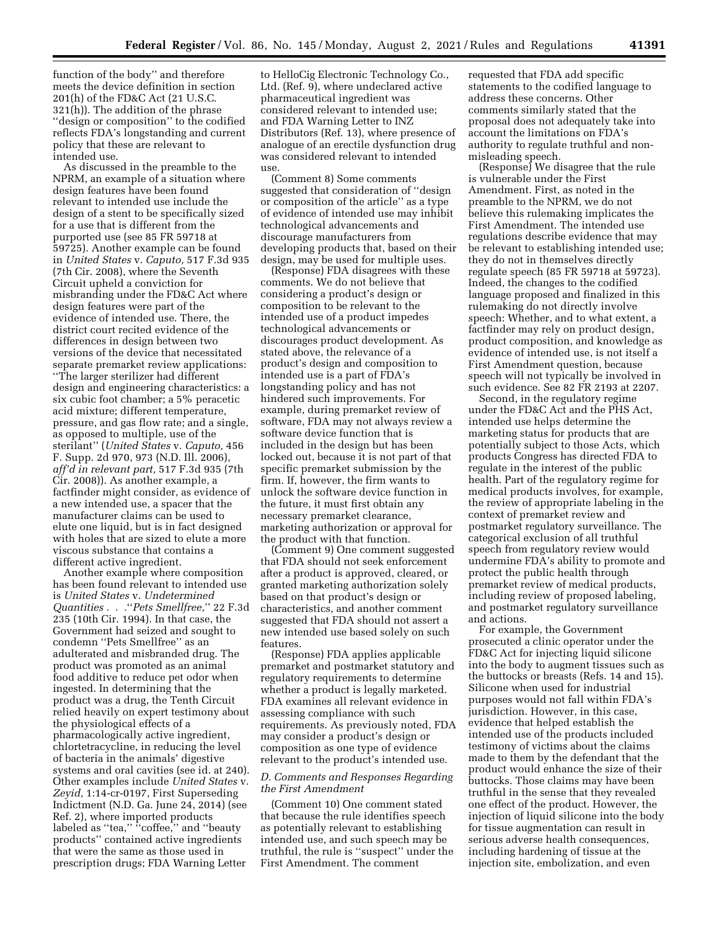function of the body'' and therefore meets the device definition in section 201(h) of the FD&C Act (21 U.S.C. 321(h)). The addition of the phrase ''design or composition'' to the codified reflects FDA's longstanding and current policy that these are relevant to intended use.

As discussed in the preamble to the NPRM, an example of a situation where design features have been found relevant to intended use include the design of a stent to be specifically sized for a use that is different from the purported use (see 85 FR 59718 at 59725). Another example can be found in *United States* v. *Caputo,* 517 F.3d 935 (7th Cir. 2008), where the Seventh Circuit upheld a conviction for misbranding under the FD&C Act where design features were part of the evidence of intended use. There, the district court recited evidence of the differences in design between two versions of the device that necessitated separate premarket review applications: ''The larger sterilizer had different design and engineering characteristics: a six cubic foot chamber; a 5% peracetic acid mixture; different temperature, pressure, and gas flow rate; and a single, as opposed to multiple, use of the sterilant'' (*United States* v. *Caputo,* 456 F. Supp. 2d 970, 973 (N.D. Ill. 2006), *aff'd in relevant part,* 517 F.3d 935 (7th Cir. 2008)). As another example, a factfinder might consider, as evidence of a new intended use, a spacer that the manufacturer claims can be used to elute one liquid, but is in fact designed with holes that are sized to elute a more viscous substance that contains a different active ingredient.

Another example where composition has been found relevant to intended use is *United States* v. *Undetermined Quantities . . .*''*Pets Smellfree,*'' 22 F.3d 235 (10th Cir. 1994). In that case, the Government had seized and sought to condemn ''Pets Smellfree'' as an adulterated and misbranded drug. The product was promoted as an animal food additive to reduce pet odor when ingested. In determining that the product was a drug, the Tenth Circuit relied heavily on expert testimony about the physiological effects of a pharmacologically active ingredient, chlortetracycline, in reducing the level of bacteria in the animals' digestive systems and oral cavities (see id. at 240). Other examples include *United States* v. *Zeyid,* 1:14-cr-0197, First Superseding Indictment (N.D. Ga. June 24, 2014) (see Ref. 2), where imported products labeled as "tea," "coffee," and "beauty products'' contained active ingredients that were the same as those used in prescription drugs; FDA Warning Letter

to HelloCig Electronic Technology Co., Ltd. (Ref. 9), where undeclared active pharmaceutical ingredient was considered relevant to intended use; and FDA Warning Letter to INZ Distributors (Ref. 13), where presence of analogue of an erectile dysfunction drug was considered relevant to intended use.

(Comment 8) Some comments suggested that consideration of ''design or composition of the article'' as a type of evidence of intended use may inhibit technological advancements and discourage manufacturers from developing products that, based on their design, may be used for multiple uses.

(Response) FDA disagrees with these comments. We do not believe that considering a product's design or composition to be relevant to the intended use of a product impedes technological advancements or discourages product development. As stated above, the relevance of a product's design and composition to intended use is a part of FDA's longstanding policy and has not hindered such improvements. For example, during premarket review of software, FDA may not always review a software device function that is included in the design but has been locked out, because it is not part of that specific premarket submission by the firm. If, however, the firm wants to unlock the software device function in the future, it must first obtain any necessary premarket clearance, marketing authorization or approval for the product with that function.

(Comment 9) One comment suggested that FDA should not seek enforcement after a product is approved, cleared, or granted marketing authorization solely based on that product's design or characteristics, and another comment suggested that FDA should not assert a new intended use based solely on such features.

(Response) FDA applies applicable premarket and postmarket statutory and regulatory requirements to determine whether a product is legally marketed. FDA examines all relevant evidence in assessing compliance with such requirements. As previously noted, FDA may consider a product's design or composition as one type of evidence relevant to the product's intended use.

#### *D. Comments and Responses Regarding the First Amendment*

(Comment 10) One comment stated that because the rule identifies speech as potentially relevant to establishing intended use, and such speech may be truthful, the rule is ''suspect'' under the First Amendment. The comment

requested that FDA add specific statements to the codified language to address these concerns. Other comments similarly stated that the proposal does not adequately take into account the limitations on FDA's authority to regulate truthful and nonmisleading speech.

(Response) We disagree that the rule is vulnerable under the First Amendment. First, as noted in the preamble to the NPRM, we do not believe this rulemaking implicates the First Amendment. The intended use regulations describe evidence that may be relevant to establishing intended use; they do not in themselves directly regulate speech (85 FR 59718 at 59723). Indeed, the changes to the codified language proposed and finalized in this rulemaking do not directly involve speech: Whether, and to what extent, a factfinder may rely on product design, product composition, and knowledge as evidence of intended use, is not itself a First Amendment question, because speech will not typically be involved in such evidence. See 82 FR 2193 at 2207.

Second, in the regulatory regime under the FD&C Act and the PHS Act, intended use helps determine the marketing status for products that are potentially subject to those Acts, which products Congress has directed FDA to regulate in the interest of the public health. Part of the regulatory regime for medical products involves, for example, the review of appropriate labeling in the context of premarket review and postmarket regulatory surveillance. The categorical exclusion of all truthful speech from regulatory review would undermine FDA's ability to promote and protect the public health through premarket review of medical products, including review of proposed labeling, and postmarket regulatory surveillance and actions.

For example, the Government prosecuted a clinic operator under the FD&C Act for injecting liquid silicone into the body to augment tissues such as the buttocks or breasts (Refs. 14 and 15). Silicone when used for industrial purposes would not fall within FDA's jurisdiction. However, in this case, evidence that helped establish the intended use of the products included testimony of victims about the claims made to them by the defendant that the product would enhance the size of their buttocks. Those claims may have been truthful in the sense that they revealed one effect of the product. However, the injection of liquid silicone into the body for tissue augmentation can result in serious adverse health consequences, including hardening of tissue at the injection site, embolization, and even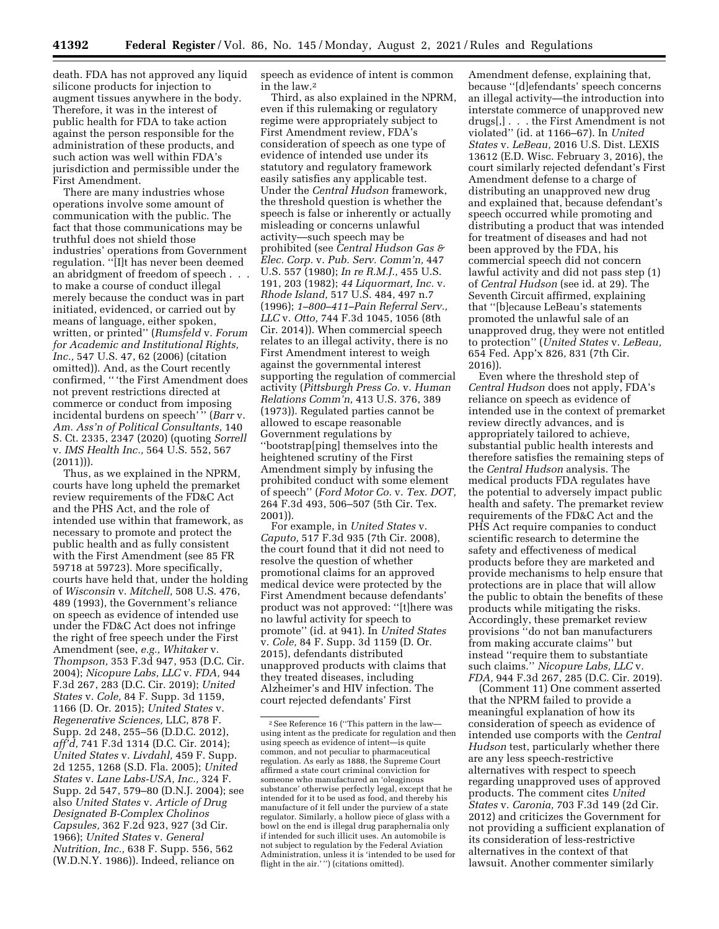death. FDA has not approved any liquid silicone products for injection to augment tissues anywhere in the body. Therefore, it was in the interest of public health for FDA to take action against the person responsible for the administration of these products, and such action was well within FDA's jurisdiction and permissible under the First Amendment.

There are many industries whose operations involve some amount of communication with the public. The fact that those communications may be truthful does not shield those industries' operations from Government regulation. ''[I]t has never been deemed an abridgment of freedom of speech . . . to make a course of conduct illegal merely because the conduct was in part initiated, evidenced, or carried out by means of language, either spoken, written, or printed'' (*Rumsfeld* v. *Forum for Academic and Institutional Rights, Inc.,* 547 U.S. 47, 62 (2006) (citation omitted)). And, as the Court recently confirmed, '' 'the First Amendment does not prevent restrictions directed at commerce or conduct from imposing incidental burdens on speech'" (*Barr* v. *Am. Ass'n of Political Consultants,* 140 S. Ct. 2335, 2347 (2020) (quoting *Sorrell*  v. *IMS Health Inc.,* 564 U.S. 552, 567  $(2011)$ ).

Thus, as we explained in the NPRM, courts have long upheld the premarket review requirements of the FD&C Act and the PHS Act, and the role of intended use within that framework, as necessary to promote and protect the public health and as fully consistent with the First Amendment (see 85 FR 59718 at 59723). More specifically, courts have held that, under the holding of *Wisconsin* v. *Mitchell,* 508 U.S. 476, 489 (1993), the Government's reliance on speech as evidence of intended use under the FD&C Act does not infringe the right of free speech under the First Amendment (see, *e.g., Whitaker* v. *Thompson,* 353 F.3d 947, 953 (D.C. Cir. 2004); *Nicopure Labs, LLC* v. *FDA,* 944 F.3d 267, 283 (D.C. Cir. 2019); *United States* v. *Cole,* 84 F. Supp. 3d 1159, 1166 (D. Or. 2015); *United States* v. *Regenerative Sciences,* LLC, 878 F. Supp. 2d 248, 255–56 (D.D.C. 2012), *aff'd,* 741 F.3d 1314 (D.C. Cir. 2014); *United States* v. *Livdahl,* 459 F. Supp. 2d 1255, 1268 (S.D. Fla. 2005); *United States* v. *Lane Labs-USA, Inc.,* 324 F. Supp. 2d 547, 579–80 (D.N.J. 2004); see also *United States* v. *Article of Drug Designated B-Complex Cholinos Capsules,* 362 F.2d 923, 927 (3d Cir. 1966); *United States* v. *General Nutrition, Inc.,* 638 F. Supp. 556, 562 (W.D.N.Y. 1986)). Indeed, reliance on

speech as evidence of intent is common in the law.2

Third, as also explained in the NPRM, even if this rulemaking or regulatory regime were appropriately subject to First Amendment review, FDA's consideration of speech as one type of evidence of intended use under its statutory and regulatory framework easily satisfies any applicable test. Under the *Central Hudson* framework, the threshold question is whether the speech is false or inherently or actually misleading or concerns unlawful activity—such speech may be prohibited (see *Central Hudson Gas & Elec. Corp.* v. *Pub. Serv. Comm'n,* 447 U.S. 557 (1980); *In re R.M.J.,* 455 U.S. 191, 203 (1982); *44 Liquormart, Inc.* v. *Rhode Island,* 517 U.S. 484, 497 n.7 (1996); *1–800–411–Pain Referral Serv., LLC* v. *Otto,* 744 F.3d 1045, 1056 (8th Cir. 2014)). When commercial speech relates to an illegal activity, there is no First Amendment interest to weigh against the governmental interest supporting the regulation of commercial activity (*Pittsburgh Press Co.* v. *Human Relations Comm'n,* 413 U.S. 376, 389 (1973)). Regulated parties cannot be allowed to escape reasonable Government regulations by ''bootstrap[ping] themselves into the heightened scrutiny of the First Amendment simply by infusing the prohibited conduct with some element of speech'' (*Ford Motor Co.* v. *Tex. DOT,*  264 F.3d 493, 506–507 (5th Cir. Tex. 2001)).

For example, in *United States* v. *Caputo,* 517 F.3d 935 (7th Cir. 2008), the court found that it did not need to resolve the question of whether promotional claims for an approved medical device were protected by the First Amendment because defendants' product was not approved: ''[t]here was no lawful activity for speech to promote'' (id. at 941). In *United States*  v. *Cole,* 84 F. Supp. 3d 1159 (D. Or. 2015), defendants distributed unapproved products with claims that they treated diseases, including Alzheimer's and HIV infection. The court rejected defendants' First

Amendment defense, explaining that, because ''[d]efendants' speech concerns an illegal activity—the introduction into interstate commerce of unapproved new drugs[,] . . . the First Amendment is not violated'' (id. at 1166–67). In *United States* v. *LeBeau,* 2016 U.S. Dist. LEXIS 13612 (E.D. Wisc. February 3, 2016), the court similarly rejected defendant's First Amendment defense to a charge of distributing an unapproved new drug and explained that, because defendant's speech occurred while promoting and distributing a product that was intended for treatment of diseases and had not been approved by the FDA, his commercial speech did not concern lawful activity and did not pass step (1) of *Central Hudson* (see id. at 29). The Seventh Circuit affirmed, explaining that ''[b]ecause LeBeau's statements promoted the unlawful sale of an unapproved drug, they were not entitled to protection'' (*United States* v. *LeBeau,*  654 Fed. App'x 826, 831 (7th Cir. 2016)).

Even where the threshold step of *Central Hudson* does not apply, FDA's reliance on speech as evidence of intended use in the context of premarket review directly advances, and is appropriately tailored to achieve, substantial public health interests and therefore satisfies the remaining steps of the *Central Hudson* analysis. The medical products FDA regulates have the potential to adversely impact public health and safety. The premarket review requirements of the FD&C Act and the PHS Act require companies to conduct scientific research to determine the safety and effectiveness of medical products before they are marketed and provide mechanisms to help ensure that protections are in place that will allow the public to obtain the benefits of these products while mitigating the risks. Accordingly, these premarket review provisions ''do not ban manufacturers from making accurate claims'' but instead ''require them to substantiate such claims.'' *Nicopure Labs, LLC* v. *FDA,* 944 F.3d 267, 285 (D.C. Cir. 2019).

(Comment 11) One comment asserted that the NPRM failed to provide a meaningful explanation of how its consideration of speech as evidence of intended use comports with the *Central Hudson* test, particularly whether there are any less speech-restrictive alternatives with respect to speech regarding unapproved uses of approved products. The comment cites *United States* v. *Caronia,* 703 F.3d 149 (2d Cir. 2012) and criticizes the Government for not providing a sufficient explanation of its consideration of less-restrictive alternatives in the context of that lawsuit. Another commenter similarly

<sup>2</sup>See Reference 16 (''This pattern in the law using intent as the predicate for regulation and then using speech as evidence of intent—is quite common, and not peculiar to pharmaceutical regulation. As early as 1888, the Supreme Court affirmed a state court criminal conviction for someone who manufactured an 'oleaginous substance' otherwise perfectly legal, except that he intended for it to be used as food, and thereby his manufacture of it fell under the purview of a state regulator. Similarly, a hollow piece of glass with a bowl on the end is illegal drug paraphernalia only if intended for such illicit uses. An automobile is not subject to regulation by the Federal Aviation Administration, unless it is 'intended to be used for flight in the air.' '') (citations omitted).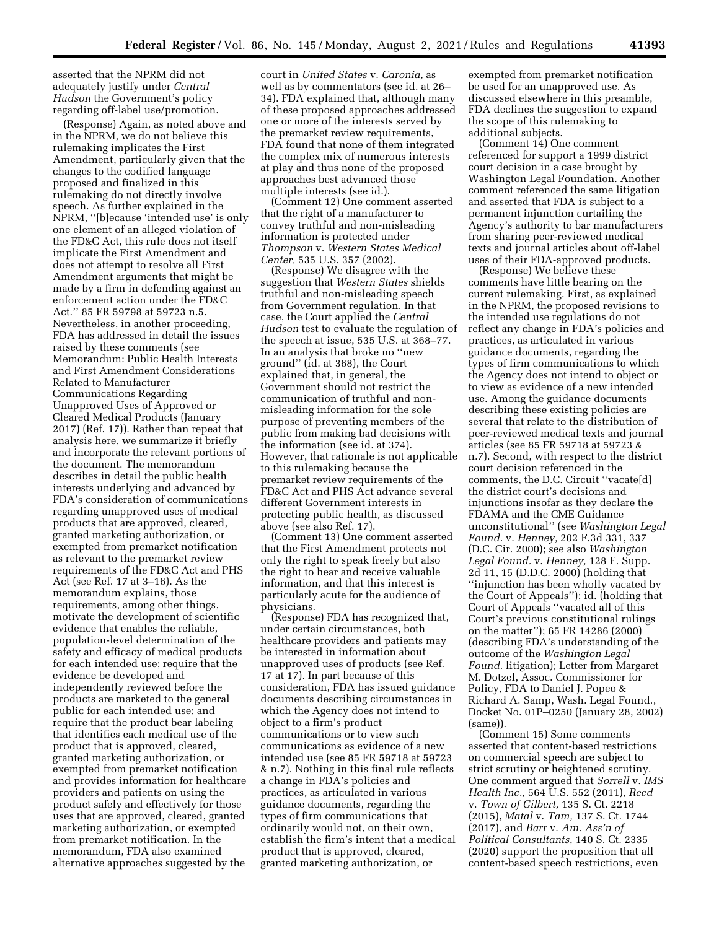asserted that the NPRM did not adequately justify under *Central Hudson* the Government's policy regarding off-label use/promotion.

(Response) Again, as noted above and in the NPRM, we do not believe this rulemaking implicates the First Amendment, particularly given that the changes to the codified language proposed and finalized in this rulemaking do not directly involve speech. As further explained in the NPRM, ''[b]ecause 'intended use' is only one element of an alleged violation of the FD&C Act, this rule does not itself implicate the First Amendment and does not attempt to resolve all First Amendment arguments that might be made by a firm in defending against an enforcement action under the FD&C Act.'' 85 FR 59798 at 59723 n.5. Nevertheless, in another proceeding, FDA has addressed in detail the issues raised by these comments (see Memorandum: Public Health Interests and First Amendment Considerations Related to Manufacturer Communications Regarding Unapproved Uses of Approved or Cleared Medical Products (January 2017) (Ref. 17)). Rather than repeat that analysis here, we summarize it briefly and incorporate the relevant portions of the document. The memorandum describes in detail the public health interests underlying and advanced by FDA's consideration of communications regarding unapproved uses of medical products that are approved, cleared, granted marketing authorization, or exempted from premarket notification as relevant to the premarket review requirements of the FD&C Act and PHS Act (see Ref. 17 at 3–16). As the memorandum explains, those requirements, among other things, motivate the development of scientific evidence that enables the reliable, population-level determination of the safety and efficacy of medical products for each intended use; require that the evidence be developed and independently reviewed before the products are marketed to the general public for each intended use; and require that the product bear labeling that identifies each medical use of the product that is approved, cleared, granted marketing authorization, or exempted from premarket notification and provides information for healthcare providers and patients on using the product safely and effectively for those uses that are approved, cleared, granted marketing authorization, or exempted from premarket notification. In the memorandum, FDA also examined alternative approaches suggested by the

court in *United States* v. *Caronia,* as well as by commentators (see id. at 26– 34). FDA explained that, although many of these proposed approaches addressed one or more of the interests served by the premarket review requirements, FDA found that none of them integrated the complex mix of numerous interests at play and thus none of the proposed approaches best advanced those multiple interests (see id.).

(Comment 12) One comment asserted that the right of a manufacturer to convey truthful and non-misleading information is protected under *Thompson* v. *Western States Medical Center,* 535 U.S. 357 (2002).

(Response) We disagree with the suggestion that *Western States* shields truthful and non-misleading speech from Government regulation. In that case, the Court applied the *Central Hudson* test to evaluate the regulation of the speech at issue, 535 U.S. at 368–77. In an analysis that broke no ''new ground'' (id. at 368), the Court explained that, in general, the Government should not restrict the communication of truthful and nonmisleading information for the sole purpose of preventing members of the public from making bad decisions with the information (see id. at 374). However, that rationale is not applicable to this rulemaking because the premarket review requirements of the FD&C Act and PHS Act advance several different Government interests in protecting public health, as discussed above (see also Ref. 17).

(Comment 13) One comment asserted that the First Amendment protects not only the right to speak freely but also the right to hear and receive valuable information, and that this interest is particularly acute for the audience of physicians.

(Response) FDA has recognized that, under certain circumstances, both healthcare providers and patients may be interested in information about unapproved uses of products (see Ref. 17 at 17). In part because of this consideration, FDA has issued guidance documents describing circumstances in which the Agency does not intend to object to a firm's product communications or to view such communications as evidence of a new intended use (see 85 FR 59718 at 59723 & n.7). Nothing in this final rule reflects a change in FDA's policies and practices, as articulated in various guidance documents, regarding the types of firm communications that ordinarily would not, on their own, establish the firm's intent that a medical product that is approved, cleared, granted marketing authorization, or

exempted from premarket notification be used for an unapproved use. As discussed elsewhere in this preamble, FDA declines the suggestion to expand the scope of this rulemaking to additional subjects.

(Comment 14) One comment referenced for support a 1999 district court decision in a case brought by Washington Legal Foundation. Another comment referenced the same litigation and asserted that FDA is subject to a permanent injunction curtailing the Agency's authority to bar manufacturers from sharing peer-reviewed medical texts and journal articles about off-label uses of their FDA-approved products.

(Response) We believe these comments have little bearing on the current rulemaking. First, as explained in the NPRM, the proposed revisions to the intended use regulations do not reflect any change in FDA's policies and practices, as articulated in various guidance documents, regarding the types of firm communications to which the Agency does not intend to object or to view as evidence of a new intended use. Among the guidance documents describing these existing policies are several that relate to the distribution of peer-reviewed medical texts and journal articles (see 85 FR 59718 at 59723 & n.7). Second, with respect to the district court decision referenced in the comments, the D.C. Circuit ''vacate[d] the district court's decisions and injunctions insofar as they declare the FDAMA and the CME Guidance unconstitutional'' (see *Washington Legal Found.* v. *Henney,* 202 F.3d 331, 337 (D.C. Cir. 2000); see also *Washington Legal Found.* v. *Henney,* 128 F. Supp. 2d 11, 15 (D.D.C. 2000) (holding that ''injunction has been wholly vacated by the Court of Appeals''); id. (holding that Court of Appeals ''vacated all of this Court's previous constitutional rulings on the matter''); 65 FR 14286 (2000) (describing FDA's understanding of the outcome of the *Washington Legal Found.* litigation); Letter from Margaret M. Dotzel, Assoc. Commissioner for Policy, FDA to Daniel J. Popeo & Richard A. Samp, Wash. Legal Found., Docket No. 01P–0250 (January 28, 2002) (same)).

(Comment 15) Some comments asserted that content-based restrictions on commercial speech are subject to strict scrutiny or heightened scrutiny. One comment argued that *Sorrell* v. *IMS Health Inc.,* 564 U.S. 552 (2011), *Reed*  v. *Town of Gilbert,* 135 S. Ct. 2218 (2015), *Matal* v. *Tam,* 137 S. Ct. 1744 (2017), and *Barr* v. *Am. Ass'n of Political Consultants,* 140 S. Ct. 2335 (2020) support the proposition that all content-based speech restrictions, even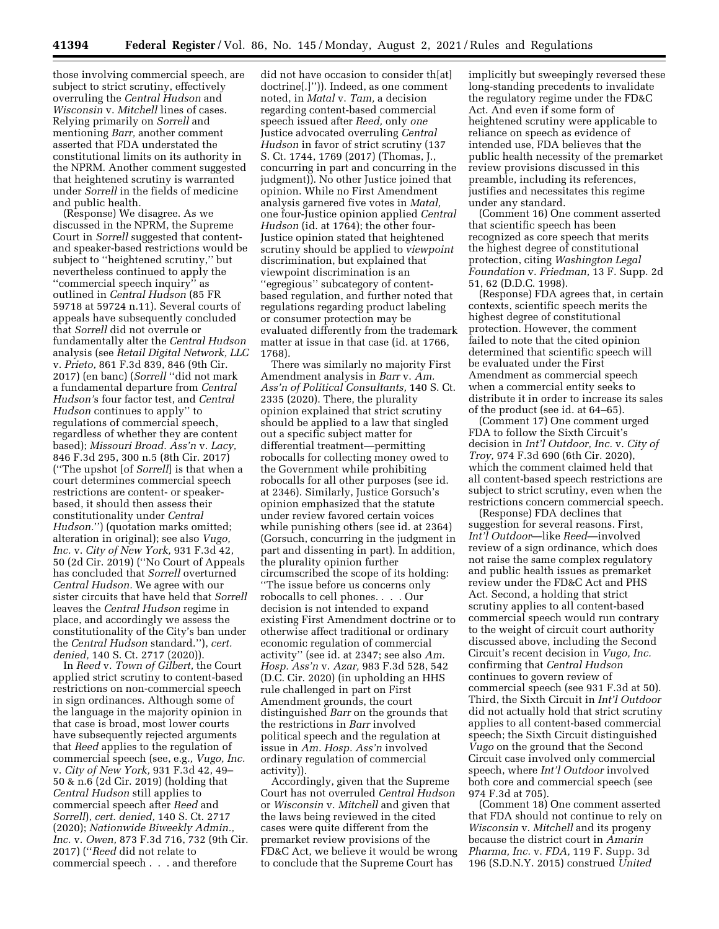those involving commercial speech, are subject to strict scrutiny, effectively overruling the *Central Hudson* and *Wisconsin* v. *Mitchell* lines of cases. Relying primarily on *Sorrell* and mentioning *Barr,* another comment asserted that FDA understated the constitutional limits on its authority in the NPRM. Another comment suggested that heightened scrutiny is warranted under *Sorrell* in the fields of medicine and public health.

(Response) We disagree. As we discussed in the NPRM, the Supreme Court in *Sorrell* suggested that contentand speaker-based restrictions would be subject to ''heightened scrutiny,'' but nevertheless continued to apply the ''commercial speech inquiry'' as outlined in *Central Hudson* (85 FR 59718 at 59724 n.11). Several courts of appeals have subsequently concluded that *Sorrell* did not overrule or fundamentally alter the *Central Hudson*  analysis (see *Retail Digital Network, LLC*  v. *Prieto,* 861 F.3d 839, 846 (9th Cir. 2017) (en banc) (*Sorrell* ''did not mark a fundamental departure from *Central Hudson'*s four factor test, and *Central Hudson* continues to apply'' to regulations of commercial speech, regardless of whether they are content based); *Missouri Broad. Ass'n* v. *Lacy,*  846 F.3d 295, 300 n.5 (8th Cir. 2017) (''The upshot [of *Sorrell*] is that when a court determines commercial speech restrictions are content- or speakerbased, it should then assess their constitutionality under *Central Hudson.*'') (quotation marks omitted; alteration in original); see also *Vugo, Inc.* v. *City of New York,* 931 F.3d 42, 50 (2d Cir. 2019) (''No Court of Appeals has concluded that *Sorrell* overturned *Central Hudson.* We agree with our sister circuits that have held that *Sorrell*  leaves the *Central Hudson* regime in place, and accordingly we assess the constitutionality of the City's ban under the *Central Hudson* standard.''), *cert. denied,* 140 S. Ct. 2717 (2020)).

In *Reed* v. *Town of Gilbert,* the Court applied strict scrutiny to content-based restrictions on non-commercial speech in sign ordinances. Although some of the language in the majority opinion in that case is broad, most lower courts have subsequently rejected arguments that *Reed* applies to the regulation of commercial speech (see, e.g*., Vugo, Inc.*  v. *City of New York,* 931 F.3d 42, 49– 50 & n.6 (2d Cir. 2019) (holding that *Central Hudson* still applies to commercial speech after *Reed* and *Sorrell*), *cert. denied,* 140 S. Ct. 2717 (2020); *Nationwide Biweekly Admin., Inc.* v. *Owen,* 873 F.3d 716, 732 (9th Cir. 2017) (''*Reed* did not relate to commercial speech . . . and therefore

did not have occasion to consider th[at] doctrine[.]'')). Indeed, as one comment noted, in *Matal* v. *Tam,* a decision regarding content-based commercial speech issued after *Reed,* only *one*  Justice advocated overruling *Central Hudson* in favor of strict scrutiny (137 S. Ct. 1744, 1769 (2017) (Thomas, J., concurring in part and concurring in the judgment)). No other Justice joined that opinion. While no First Amendment analysis garnered five votes in *Matal,*  one four-Justice opinion applied *Central Hudson* (id. at 1764); the other four-Justice opinion stated that heightened scrutiny should be applied to *viewpoint*  discrimination, but explained that viewpoint discrimination is an ''egregious'' subcategory of contentbased regulation, and further noted that regulations regarding product labeling or consumer protection may be evaluated differently from the trademark matter at issue in that case (id. at 1766, 1768).

There was similarly no majority First Amendment analysis in *Barr* v. *Am. Ass'n of Political Consultants,* 140 S. Ct. 2335 (2020). There, the plurality opinion explained that strict scrutiny should be applied to a law that singled out a specific subject matter for differential treatment—permitting robocalls for collecting money owed to the Government while prohibiting robocalls for all other purposes (see id. at 2346). Similarly, Justice Gorsuch's opinion emphasized that the statute under review favored certain voices while punishing others (see id. at 2364) (Gorsuch, concurring in the judgment in part and dissenting in part). In addition, the plurality opinion further circumscribed the scope of its holding: ''The issue before us concerns only robocalls to cell phones. . . . Our decision is not intended to expand existing First Amendment doctrine or to otherwise affect traditional or ordinary economic regulation of commercial activity'' (see id. at 2347; see also *Am. Hosp. Ass'n* v. *Azar,* 983 F.3d 528, 542 (D.C. Cir. 2020) (in upholding an HHS rule challenged in part on First Amendment grounds, the court distinguished *Barr* on the grounds that the restrictions in *Barr* involved political speech and the regulation at issue in *Am. Hosp. Ass'n* involved ordinary regulation of commercial activity)).

Accordingly, given that the Supreme Court has not overruled *Central Hudson*  or *Wisconsin* v. *Mitchell* and given that the laws being reviewed in the cited cases were quite different from the premarket review provisions of the FD&C Act, we believe it would be wrong to conclude that the Supreme Court has

implicitly but sweepingly reversed these long-standing precedents to invalidate the regulatory regime under the FD&C Act. And even if some form of heightened scrutiny were applicable to reliance on speech as evidence of intended use, FDA believes that the public health necessity of the premarket review provisions discussed in this preamble, including its references, justifies and necessitates this regime under any standard.

(Comment 16) One comment asserted that scientific speech has been recognized as core speech that merits the highest degree of constitutional protection, citing *Washington Legal Foundation* v. *Friedman,* 13 F. Supp. 2d 51, 62 (D.D.C. 1998).

(Response) FDA agrees that, in certain contexts, scientific speech merits the highest degree of constitutional protection. However, the comment failed to note that the cited opinion determined that scientific speech will be evaluated under the First Amendment as commercial speech when a commercial entity seeks to distribute it in order to increase its sales of the product (see id. at 64–65).

(Comment 17) One comment urged FDA to follow the Sixth Circuit's decision in *Int'l Outdoor, Inc.* v. *City of Troy,* 974 F.3d 690 (6th Cir. 2020), which the comment claimed held that all content-based speech restrictions are subject to strict scrutiny, even when the restrictions concern commercial speech.

(Response) FDA declines that suggestion for several reasons. First, *Int'l Outdoor*—like *Reed*—involved review of a sign ordinance, which does not raise the same complex regulatory and public health issues as premarket review under the FD&C Act and PHS Act. Second, a holding that strict scrutiny applies to all content-based commercial speech would run contrary to the weight of circuit court authority discussed above, including the Second Circuit's recent decision in *Vugo, Inc.*  confirming that *Central Hudson*  continues to govern review of commercial speech (see 931 F.3d at 50). Third, the Sixth Circuit in *Int'l Outdoor*  did not actually hold that strict scrutiny applies to all content-based commercial speech; the Sixth Circuit distinguished *Vugo* on the ground that the Second Circuit case involved only commercial speech, where *Int'l Outdoor* involved both core and commercial speech (see 974 F.3d at 705).

(Comment 18) One comment asserted that FDA should not continue to rely on *Wisconsin* v. *Mitchell* and its progeny because the district court in *Amarin Pharma, Inc.* v. *FDA,* 119 F. Supp. 3d 196 (S.D.N.Y. 2015) construed *United*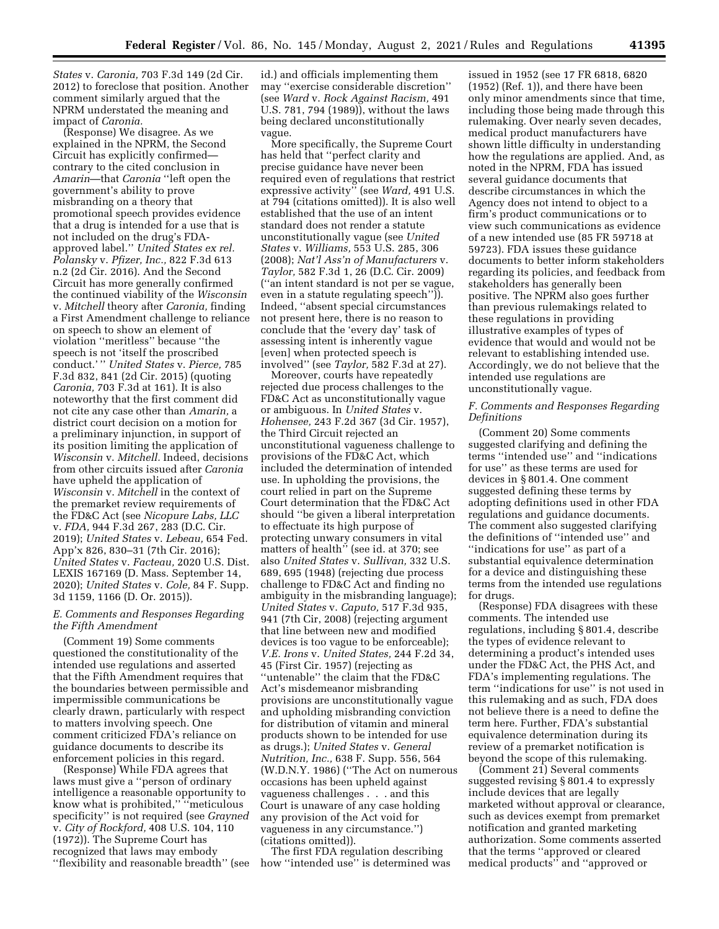*States* v. *Caronia,* 703 F.3d 149 (2d Cir. 2012) to foreclose that position. Another comment similarly argued that the NPRM understated the meaning and impact of *Caronia.* 

(Response) We disagree. As we explained in the NPRM, the Second Circuit has explicitly confirmed contrary to the cited conclusion in *Amarin*—that *Caronia* ''left open the government's ability to prove misbranding on a theory that promotional speech provides evidence that a drug is intended for a use that is not included on the drug's FDAapproved label.'' *United States ex rel. Polansky* v. *Pfizer, Inc.,* 822 F.3d 613 n.2 (2d Cir. 2016). And the Second Circuit has more generally confirmed the continued viability of the *Wisconsin*  v. *Mitchell* theory after *Caronia,* finding a First Amendment challenge to reliance on speech to show an element of violation ''meritless'' because ''the speech is not 'itself the proscribed conduct.' '' *United States* v. *Pierce,* 785 F.3d 832, 841 (2d Cir. 2015) (quoting *Caronia,* 703 F.3d at 161). It is also noteworthy that the first comment did not cite any case other than *Amarin,* a district court decision on a motion for a preliminary injunction, in support of its position limiting the application of *Wisconsin* v. *Mitchell.* Indeed, decisions from other circuits issued after *Caronia*  have upheld the application of *Wisconsin* v. *Mitchell* in the context of the premarket review requirements of the FD&C Act (see *Nicopure Labs, LLC*  v. *FDA,* 944 F.3d 267, 283 (D.C. Cir. 2019); *United States* v. *Lebeau,* 654 Fed. App'x 826, 830–31 (7th Cir. 2016); *United States* v. *Facteau,* 2020 U.S. Dist. LEXIS 167169 (D. Mass. September 14, 2020); *United States* v. *Cole,* 84 F. Supp. 3d 1159, 1166 (D. Or. 2015)).

#### *E. Comments and Responses Regarding the Fifth Amendment*

(Comment 19) Some comments questioned the constitutionality of the intended use regulations and asserted that the Fifth Amendment requires that the boundaries between permissible and impermissible communications be clearly drawn, particularly with respect to matters involving speech. One comment criticized FDA's reliance on guidance documents to describe its enforcement policies in this regard.

(Response) While FDA agrees that laws must give a ''person of ordinary intelligence a reasonable opportunity to know what is prohibited,'' ''meticulous specificity'' is not required (see *Grayned*  v. *City of Rockford,* 408 U.S. 104, 110 (1972)). The Supreme Court has recognized that laws may embody ''flexibility and reasonable breadth'' (see id.) and officials implementing them may ''exercise considerable discretion'' (see *Ward* v. *Rock Against Racism,* 491 U.S. 781, 794 (1989)), without the laws being declared unconstitutionally vague.

More specifically, the Supreme Court has held that ''perfect clarity and precise guidance have never been required even of regulations that restrict expressive activity'' (see *Ward,* 491 U.S. at 794 (citations omitted)). It is also well established that the use of an intent standard does not render a statute unconstitutionally vague (see *United States* v. *Williams,* 553 U.S. 285, 306 (2008); *Nat'l Ass'n of Manufacturers* v. *Taylor,* 582 F.3d 1, 26 (D.C. Cir. 2009) (''an intent standard is not per se vague, even in a statute regulating speech'')). Indeed, ''absent special circumstances not present here, there is no reason to conclude that the 'every day' task of assessing intent is inherently vague [even] when protected speech is involved'' (see *Taylor,* 582 F.3d at 27).

Moreover, courts have repeatedly rejected due process challenges to the FD&C Act as unconstitutionally vague or ambiguous. In *United States* v. *Hohensee,* 243 F.2d 367 (3d Cir. 1957), the Third Circuit rejected an unconstitutional vagueness challenge to provisions of the FD&C Act, which included the determination of intended use. In upholding the provisions, the court relied in part on the Supreme Court determination that the FD&C Act should ''be given a liberal interpretation to effectuate its high purpose of protecting unwary consumers in vital matters of health" (see id. at 370; see also *United States* v. *Sullivan,* 332 U.S. 689, 695 (1948) (rejecting due process challenge to FD&C Act and finding no ambiguity in the misbranding language); *United States* v. *Caputo,* 517 F.3d 935, 941 (7th Cir, 2008) (rejecting argument that line between new and modified devices is too vague to be enforceable); *V.E. Irons* v. *United States,* 244 F.2d 34, 45 (First Cir. 1957) (rejecting as ''untenable'' the claim that the FD&C Act's misdemeanor misbranding provisions are unconstitutionally vague and upholding misbranding conviction for distribution of vitamin and mineral products shown to be intended for use as drugs.); *United States* v. *General Nutrition, Inc.,* 638 F. Supp. 556, 564 (W.D.N.Y. 1986) (''The Act on numerous occasions has been upheld against vagueness challenges . . . and this Court is unaware of any case holding any provision of the Act void for vagueness in any circumstance.'') (citations omitted)).

The first FDA regulation describing how ''intended use'' is determined was issued in 1952 (see 17 FR 6818, 6820 (1952) (Ref. 1)), and there have been only minor amendments since that time, including those being made through this rulemaking. Over nearly seven decades, medical product manufacturers have shown little difficulty in understanding how the regulations are applied. And, as noted in the NPRM, FDA has issued several guidance documents that describe circumstances in which the Agency does not intend to object to a firm's product communications or to view such communications as evidence of a new intended use (85 FR 59718 at 59723). FDA issues these guidance documents to better inform stakeholders regarding its policies, and feedback from stakeholders has generally been positive. The NPRM also goes further than previous rulemakings related to these regulations in providing illustrative examples of types of evidence that would and would not be relevant to establishing intended use. Accordingly, we do not believe that the intended use regulations are unconstitutionally vague.

#### *F. Comments and Responses Regarding Definitions*

(Comment 20) Some comments suggested clarifying and defining the terms ''intended use'' and ''indications for use'' as these terms are used for devices in § 801.4. One comment suggested defining these terms by adopting definitions used in other FDA regulations and guidance documents. The comment also suggested clarifying the definitions of ''intended use'' and ''indications for use'' as part of a substantial equivalence determination for a device and distinguishing these terms from the intended use regulations for drugs.

(Response) FDA disagrees with these comments. The intended use regulations, including § 801.4, describe the types of evidence relevant to determining a product's intended uses under the FD&C Act, the PHS Act, and FDA's implementing regulations. The term ''indications for use'' is not used in this rulemaking and as such, FDA does not believe there is a need to define the term here. Further, FDA's substantial equivalence determination during its review of a premarket notification is beyond the scope of this rulemaking.

(Comment 21) Several comments suggested revising § 801.4 to expressly include devices that are legally marketed without approval or clearance, such as devices exempt from premarket notification and granted marketing authorization. Some comments asserted that the terms ''approved or cleared medical products'' and ''approved or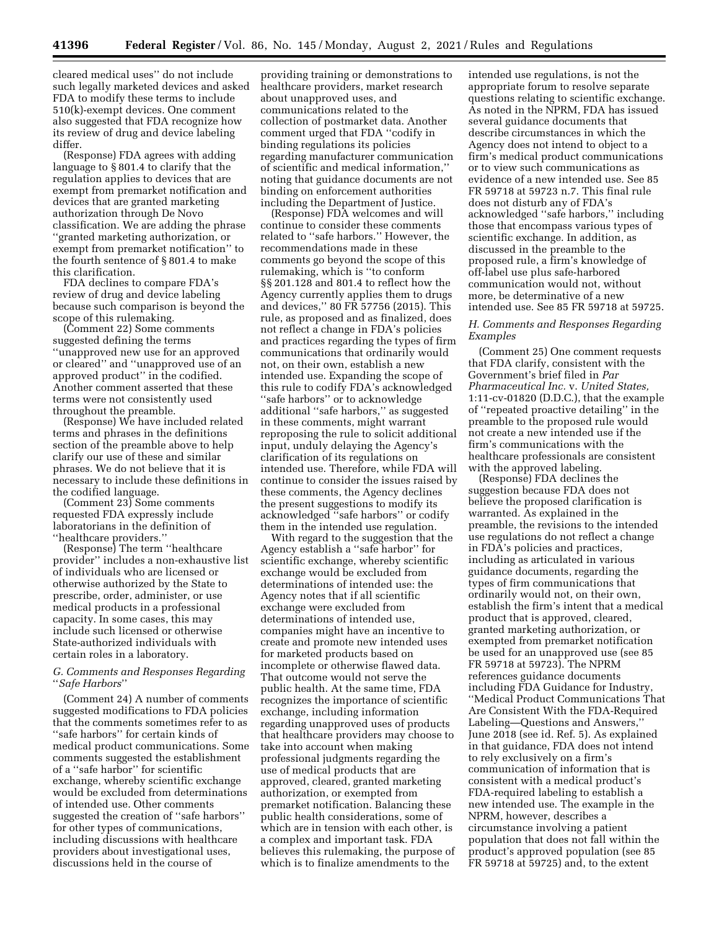cleared medical uses'' do not include such legally marketed devices and asked FDA to modify these terms to include 510(k)-exempt devices. One comment also suggested that FDA recognize how its review of drug and device labeling differ.

(Response) FDA agrees with adding language to § 801.4 to clarify that the regulation applies to devices that are exempt from premarket notification and devices that are granted marketing authorization through De Novo classification. We are adding the phrase ''granted marketing authorization, or exempt from premarket notification'' to the fourth sentence of § 801.4 to make this clarification.

FDA declines to compare FDA's review of drug and device labeling because such comparison is beyond the scope of this rulemaking.

(Comment 22) Some comments suggested defining the terms ''unapproved new use for an approved or cleared'' and ''unapproved use of an approved product'' in the codified. Another comment asserted that these terms were not consistently used throughout the preamble.

(Response) We have included related terms and phrases in the definitions section of the preamble above to help clarify our use of these and similar phrases. We do not believe that it is necessary to include these definitions in the codified language.

(Comment 23) Some comments requested FDA expressly include laboratorians in the definition of ''healthcare providers.''

(Response) The term ''healthcare provider'' includes a non-exhaustive list of individuals who are licensed or otherwise authorized by the State to prescribe, order, administer, or use medical products in a professional capacity. In some cases, this may include such licensed or otherwise State-authorized individuals with certain roles in a laboratory.

#### *G. Comments and Responses Regarding*  ''*Safe Harbors*''

(Comment 24) A number of comments suggested modifications to FDA policies that the comments sometimes refer to as ''safe harbors'' for certain kinds of medical product communications. Some comments suggested the establishment of a ''safe harbor'' for scientific exchange, whereby scientific exchange would be excluded from determinations of intended use. Other comments suggested the creation of ''safe harbors'' for other types of communications, including discussions with healthcare providers about investigational uses, discussions held in the course of

providing training or demonstrations to healthcare providers, market research about unapproved uses, and communications related to the collection of postmarket data. Another comment urged that FDA ''codify in binding regulations its policies regarding manufacturer communication of scientific and medical information,'' noting that guidance documents are not binding on enforcement authorities including the Department of Justice.

(Response) FDA welcomes and will continue to consider these comments related to ''safe harbors.'' However, the recommendations made in these comments go beyond the scope of this rulemaking, which is ''to conform §§ 201.128 and 801.4 to reflect how the Agency currently applies them to drugs and devices,'' 80 FR 57756 (2015). This rule, as proposed and as finalized, does not reflect a change in FDA's policies and practices regarding the types of firm communications that ordinarily would not, on their own, establish a new intended use. Expanding the scope of this rule to codify FDA's acknowledged ''safe harbors'' or to acknowledge additional ''safe harbors,'' as suggested in these comments, might warrant reproposing the rule to solicit additional input, unduly delaying the Agency's clarification of its regulations on intended use. Therefore, while FDA will continue to consider the issues raised by these comments, the Agency declines the present suggestions to modify its acknowledged ''safe harbors'' or codify them in the intended use regulation.

With regard to the suggestion that the Agency establish a ''safe harbor'' for scientific exchange, whereby scientific exchange would be excluded from determinations of intended use: the Agency notes that if all scientific exchange were excluded from determinations of intended use, companies might have an incentive to create and promote new intended uses for marketed products based on incomplete or otherwise flawed data. That outcome would not serve the public health. At the same time, FDA recognizes the importance of scientific exchange, including information regarding unapproved uses of products that healthcare providers may choose to take into account when making professional judgments regarding the use of medical products that are approved, cleared, granted marketing authorization, or exempted from premarket notification. Balancing these public health considerations, some of which are in tension with each other, is a complex and important task. FDA believes this rulemaking, the purpose of which is to finalize amendments to the

intended use regulations, is not the appropriate forum to resolve separate questions relating to scientific exchange. As noted in the NPRM, FDA has issued several guidance documents that describe circumstances in which the Agency does not intend to object to a firm's medical product communications or to view such communications as evidence of a new intended use. See 85 FR 59718 at 59723 n.7. This final rule does not disturb any of FDA's acknowledged ''safe harbors,'' including those that encompass various types of scientific exchange. In addition, as discussed in the preamble to the proposed rule, a firm's knowledge of off-label use plus safe-harbored communication would not, without more, be determinative of a new intended use. See 85 FR 59718 at 59725.

#### *H. Comments and Responses Regarding Examples*

(Comment 25) One comment requests that FDA clarify, consistent with the Government's brief filed in *Par Pharmaceutical Inc.* v. *United States,*  1:11-cv-01820 (D.D.C.), that the example of ''repeated proactive detailing'' in the preamble to the proposed rule would not create a new intended use if the firm's communications with the healthcare professionals are consistent with the approved labeling.

(Response) FDA declines the suggestion because FDA does not believe the proposed clarification is warranted. As explained in the preamble, the revisions to the intended use regulations do not reflect a change in FDA's policies and practices, including as articulated in various guidance documents, regarding the types of firm communications that ordinarily would not, on their own, establish the firm's intent that a medical product that is approved, cleared, granted marketing authorization, or exempted from premarket notification be used for an unapproved use (see 85 FR 59718 at 59723). The NPRM references guidance documents including FDA Guidance for Industry, ''Medical Product Communications That Are Consistent With the FDA-Required Labeling—Questions and Answers,'' June 2018 (see id. Ref. 5). As explained in that guidance, FDA does not intend to rely exclusively on a firm's communication of information that is consistent with a medical product's FDA-required labeling to establish a new intended use. The example in the NPRM, however, describes a circumstance involving a patient population that does not fall within the product's approved population (see 85 FR 59718 at 59725) and, to the extent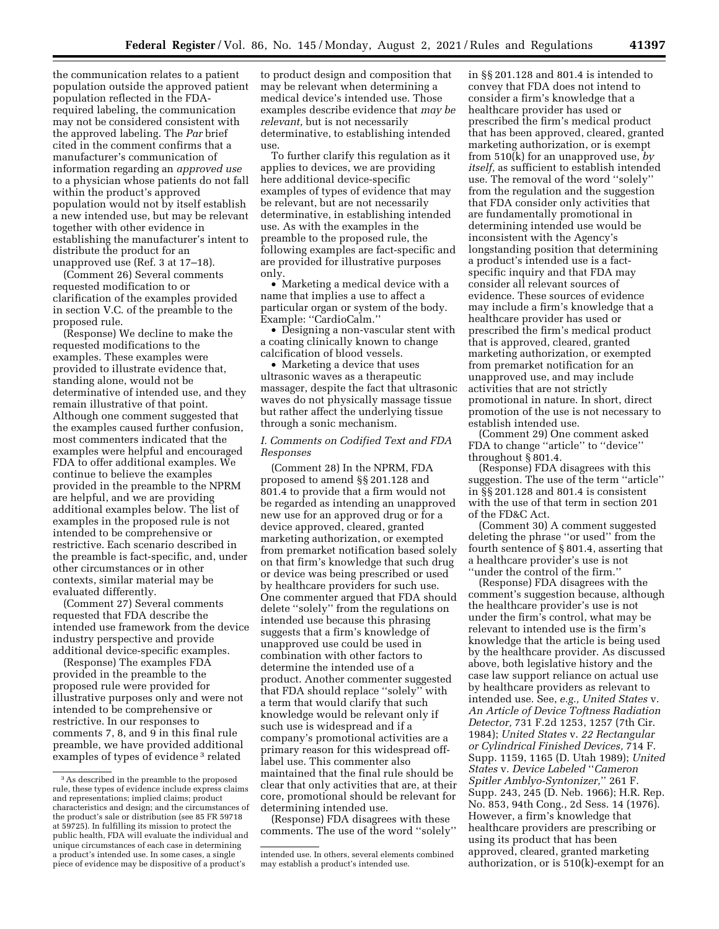the communication relates to a patient population outside the approved patient population reflected in the FDArequired labeling, the communication may not be considered consistent with the approved labeling. The *Par* brief cited in the comment confirms that a manufacturer's communication of information regarding an *approved use*  to a physician whose patients do not fall within the product's approved population would not by itself establish a new intended use, but may be relevant together with other evidence in establishing the manufacturer's intent to distribute the product for an

unapproved use (Ref. 3 at 17–18).

(Comment 26) Several comments requested modification to or clarification of the examples provided in section V.C. of the preamble to the proposed rule.

(Response) We decline to make the requested modifications to the examples. These examples were provided to illustrate evidence that, standing alone, would not be determinative of intended use, and they remain illustrative of that point. Although one comment suggested that the examples caused further confusion, most commenters indicated that the examples were helpful and encouraged FDA to offer additional examples. We continue to believe the examples provided in the preamble to the NPRM are helpful, and we are providing additional examples below. The list of examples in the proposed rule is not intended to be comprehensive or restrictive. Each scenario described in the preamble is fact-specific, and, under other circumstances or in other contexts, similar material may be evaluated differently.

(Comment 27) Several comments requested that FDA describe the intended use framework from the device industry perspective and provide additional device-specific examples.

(Response) The examples FDA provided in the preamble to the proposed rule were provided for illustrative purposes only and were not intended to be comprehensive or restrictive. In our responses to comments 7, 8, and 9 in this final rule preamble, we have provided additional examples of types of evidence 3 related

to product design and composition that may be relevant when determining a medical device's intended use. Those examples describe evidence that *may be relevant,* but is not necessarily determinative, to establishing intended use.

To further clarify this regulation as it applies to devices, we are providing here additional device-specific examples of types of evidence that may be relevant, but are not necessarily determinative, in establishing intended use. As with the examples in the preamble to the proposed rule, the following examples are fact-specific and are provided for illustrative purposes only.

• Marketing a medical device with a name that implies a use to affect a particular organ or system of the body. Example: ''CardioCalm.''

• Designing a non-vascular stent with a coating clinically known to change calcification of blood vessels.

• Marketing a device that uses ultrasonic waves as a therapeutic massager, despite the fact that ultrasonic waves do not physically massage tissue but rather affect the underlying tissue through a sonic mechanism.

#### *I. Comments on Codified Text and FDA Responses*

(Comment 28) In the NPRM, FDA proposed to amend §§ 201.128 and 801.4 to provide that a firm would not be regarded as intending an unapproved new use for an approved drug or for a device approved, cleared, granted marketing authorization, or exempted from premarket notification based solely on that firm's knowledge that such drug or device was being prescribed or used by healthcare providers for such use. One commenter argued that FDA should delete ''solely'' from the regulations on intended use because this phrasing suggests that a firm's knowledge of unapproved use could be used in combination with other factors to determine the intended use of a product. Another commenter suggested that FDA should replace ''solely'' with a term that would clarify that such knowledge would be relevant only if such use is widespread and if a company's promotional activities are a primary reason for this widespread offlabel use. This commenter also maintained that the final rule should be clear that only activities that are, at their core, promotional should be relevant for determining intended use.

(Response) FDA disagrees with these comments. The use of the word ''solely''

in §§ 201.128 and 801.4 is intended to convey that FDA does not intend to consider a firm's knowledge that a healthcare provider has used or prescribed the firm's medical product that has been approved, cleared, granted marketing authorization, or is exempt from 510(k) for an unapproved use, *by itself,* as sufficient to establish intended use. The removal of the word ''solely'' from the regulation and the suggestion that FDA consider only activities that are fundamentally promotional in determining intended use would be inconsistent with the Agency's longstanding position that determining a product's intended use is a factspecific inquiry and that FDA may consider all relevant sources of evidence. These sources of evidence may include a firm's knowledge that a healthcare provider has used or prescribed the firm's medical product that is approved, cleared, granted marketing authorization, or exempted from premarket notification for an unapproved use, and may include activities that are not strictly promotional in nature. In short, direct promotion of the use is not necessary to establish intended use.

(Comment 29) One comment asked FDA to change ''article'' to ''device'' throughout § 801.4.

(Response) FDA disagrees with this suggestion. The use of the term ''article'' in §§ 201.128 and 801.4 is consistent with the use of that term in section 201 of the FD&C Act.

(Comment 30) A comment suggested deleting the phrase ''or used'' from the fourth sentence of § 801.4, asserting that a healthcare provider's use is not ''under the control of the firm.''

(Response) FDA disagrees with the comment's suggestion because, although the healthcare provider's use is not under the firm's control, what may be relevant to intended use is the firm's knowledge that the article is being used by the healthcare provider. As discussed above, both legislative history and the case law support reliance on actual use by healthcare providers as relevant to intended use. See, *e.g., United States* v. *An Article of Device Toftness Radiation Detector,* 731 F.2d 1253, 1257 (7th Cir. 1984); *United States* v. *22 Rectangular or Cylindrical Finished Devices,* 714 F. Supp. 1159, 1165 (D. Utah 1989); *United States* v. *Device Labeled* ''*Cameron Spitler Amblyo-Syntonizer,*'' 261 F. Supp. 243, 245 (D. Neb. 1966); H.R. Rep. No. 853, 94th Cong., 2d Sess. 14 (1976). However, a firm's knowledge that healthcare providers are prescribing or using its product that has been approved, cleared, granted marketing authorization, or is 510(k)-exempt for an

<sup>3</sup>As described in the preamble to the proposed rule, these types of evidence include express claims and representations; implied claims; product characteristics and design; and the circumstances of the product's sale or distribution (see 85 FR 59718 at 59725). In fulfilling its mission to protect the public health, FDA will evaluate the individual and unique circumstances of each case in determining a product's intended use. In some cases, a single piece of evidence may be dispositive of a product's

intended use. In others, several elements combined may establish a product's intended use.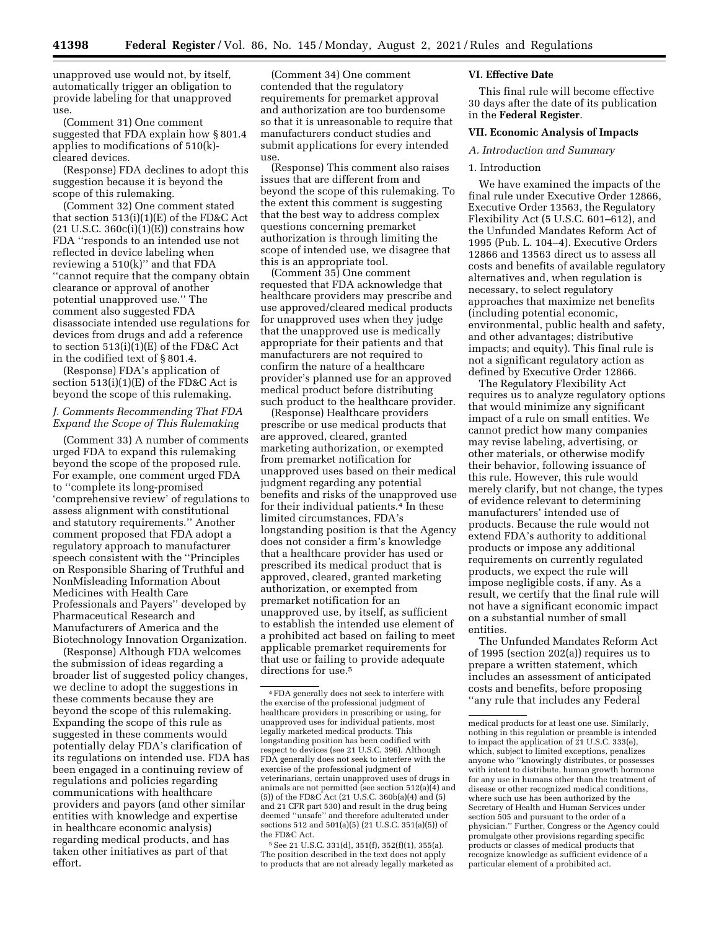unapproved use would not, by itself, automatically trigger an obligation to provide labeling for that unapproved use.

(Comment 31) One comment suggested that FDA explain how § 801.4 applies to modifications of 510(k) cleared devices.

(Response) FDA declines to adopt this suggestion because it is beyond the scope of this rulemaking.

(Comment 32) One comment stated that section 513(i)(1)(E) of the FD&C Act  $(21 \text{ U.S.C. } 360c(i)(1)(E))$  constrains how FDA ''responds to an intended use not reflected in device labeling when reviewing a 510(k)'' and that FDA ''cannot require that the company obtain clearance or approval of another potential unapproved use.'' The comment also suggested FDA disassociate intended use regulations for devices from drugs and add a reference to section  $513(i)(1)(E)$  of the FD&C Act in the codified text of § 801.4.

(Response) FDA's application of section 513(i)(1)(E) of the FD&C Act is beyond the scope of this rulemaking.

#### *J. Comments Recommending That FDA Expand the Scope of This Rulemaking*

(Comment 33) A number of comments urged FDA to expand this rulemaking beyond the scope of the proposed rule. For example, one comment urged FDA to ''complete its long-promised 'comprehensive review' of regulations to assess alignment with constitutional and statutory requirements.'' Another comment proposed that FDA adopt a regulatory approach to manufacturer speech consistent with the ''Principles on Responsible Sharing of Truthful and NonMisleading Information About Medicines with Health Care Professionals and Payers'' developed by Pharmaceutical Research and Manufacturers of America and the Biotechnology Innovation Organization.

(Response) Although FDA welcomes the submission of ideas regarding a broader list of suggested policy changes, we decline to adopt the suggestions in these comments because they are beyond the scope of this rulemaking. Expanding the scope of this rule as suggested in these comments would potentially delay FDA's clarification of its regulations on intended use. FDA has been engaged in a continuing review of regulations and policies regarding communications with healthcare providers and payors (and other similar entities with knowledge and expertise in healthcare economic analysis) regarding medical products, and has taken other initiatives as part of that effort.

(Comment 34) One comment contended that the regulatory requirements for premarket approval and authorization are too burdensome so that it is unreasonable to require that manufacturers conduct studies and submit applications for every intended use.

(Response) This comment also raises issues that are different from and beyond the scope of this rulemaking. To the extent this comment is suggesting that the best way to address complex questions concerning premarket authorization is through limiting the scope of intended use, we disagree that this is an appropriate tool.

(Comment 35) One comment requested that FDA acknowledge that healthcare providers may prescribe and use approved/cleared medical products for unapproved uses when they judge that the unapproved use is medically appropriate for their patients and that manufacturers are not required to confirm the nature of a healthcare provider's planned use for an approved medical product before distributing such product to the healthcare provider.

(Response) Healthcare providers prescribe or use medical products that are approved, cleared, granted marketing authorization, or exempted from premarket notification for unapproved uses based on their medical judgment regarding any potential benefits and risks of the unapproved use for their individual patients.4 In these limited circumstances, FDA's longstanding position is that the Agency does not consider a firm's knowledge that a healthcare provider has used or prescribed its medical product that is approved, cleared, granted marketing authorization, or exempted from premarket notification for an unapproved use, by itself, as sufficient to establish the intended use element of a prohibited act based on failing to meet applicable premarket requirements for that use or failing to provide adequate directions for use.5

5See 21 U.S.C. 331(d), 351(f), 352(f)(1), 355(a). The position described in the text does not apply to products that are not already legally marketed as

#### **VI. Effective Date**

This final rule will become effective 30 days after the date of its publication in the **Federal Register**.

#### **VII. Economic Analysis of Impacts**

*A. Introduction and Summary* 

#### 1. Introduction

We have examined the impacts of the final rule under Executive Order 12866, Executive Order 13563, the Regulatory Flexibility Act (5 U.S.C. 601–612), and the Unfunded Mandates Reform Act of 1995 (Pub. L. 104–4). Executive Orders 12866 and 13563 direct us to assess all costs and benefits of available regulatory alternatives and, when regulation is necessary, to select regulatory approaches that maximize net benefits (including potential economic, environmental, public health and safety, and other advantages; distributive impacts; and equity). This final rule is not a significant regulatory action as defined by Executive Order 12866.

The Regulatory Flexibility Act requires us to analyze regulatory options that would minimize any significant impact of a rule on small entities. We cannot predict how many companies may revise labeling, advertising, or other materials, or otherwise modify their behavior, following issuance of this rule. However, this rule would merely clarify, but not change, the types of evidence relevant to determining manufacturers' intended use of products. Because the rule would not extend FDA's authority to additional products or impose any additional requirements on currently regulated products, we expect the rule will impose negligible costs, if any. As a result, we certify that the final rule will not have a significant economic impact on a substantial number of small entities.

The Unfunded Mandates Reform Act of 1995 (section 202(a)) requires us to prepare a written statement, which includes an assessment of anticipated costs and benefits, before proposing ''any rule that includes any Federal

<sup>4</sup>FDA generally does not seek to interfere with the exercise of the professional judgment of healthcare providers in prescribing or using, for unapproved uses for individual patients, most legally marketed medical products. This longstanding position has been codified with respect to devices (see 21 U.S.C. 396). Although FDA generally does not seek to interfere with the exercise of the professional judgment of veterinarians, certain unapproved uses of drugs in animals are not permitted (see section 512(a)(4) and (5)) of the FD&C Act (21 U.S.C. 360b(a)(4) and (5) and 21 CFR part 530) and result in the drug being deemed ''unsafe'' and therefore adulterated under sections 512 and 501(a)(5) (21 U.S.C. 351(a)(5)) of the FD&C Act.

medical products for at least one use. Similarly, nothing in this regulation or preamble is intended to impact the application of 21 U.S.C. 333(e), which, subject to limited exceptions, penalizes anyone who ''knowingly distributes, or possesses with intent to distribute, human growth hormone for any use in humans other than the treatment of disease or other recognized medical conditions, where such use has been authorized by the Secretary of Health and Human Services under section 505 and pursuant to the order of a physician.'' Further, Congress or the Agency could promulgate other provisions regarding specific products or classes of medical products that recognize knowledge as sufficient evidence of a particular element of a prohibited act.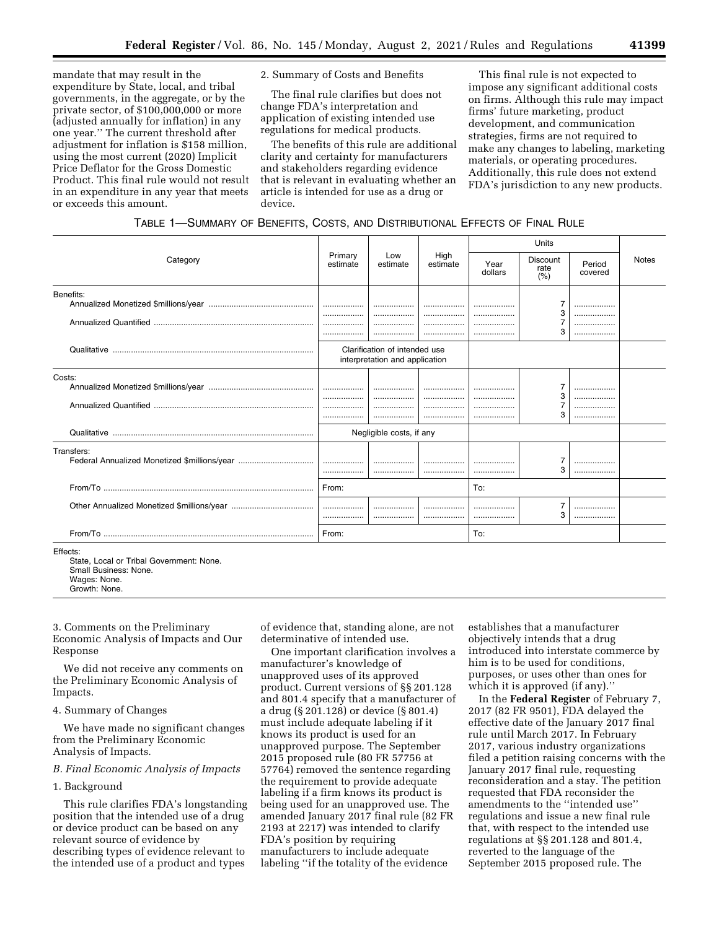mandate that may result in the expenditure by State, local, and tribal governments, in the aggregate, or by the private sector, of \$100,000,000 or more (adjusted annually for inflation) in any one year.'' The current threshold after adjustment for inflation is \$158 million, using the most current (2020) Implicit Price Deflator for the Gross Domestic Product. This final rule would not result in an expenditure in any year that meets or exceeds this amount.

2. Summary of Costs and Benefits

The final rule clarifies but does not change FDA's interpretation and application of existing intended use regulations for medical products.

The benefits of this rule are additional clarity and certainty for manufacturers and stakeholders regarding evidence that is relevant in evaluating whether an article is intended for use as a drug or device.

This final rule is not expected to impose any significant additional costs on firms. Although this rule may impact firms' future marketing, product development, and communication strategies, firms are not required to make any changes to labeling, marketing materials, or operating procedures. Additionally, this rule does not extend FDA's jurisdiction to any new products.

| TABLE 1-SUMMARY OF BENEFITS, COSTS, AND DISTRIBUTIONAL EFFECTS OF FINAL RULE |  |  |  |
|------------------------------------------------------------------------------|--|--|--|
|------------------------------------------------------------------------------|--|--|--|

|            |                     |                                                                 |                  |                 | Units                   |                   |              |
|------------|---------------------|-----------------------------------------------------------------|------------------|-----------------|-------------------------|-------------------|--------------|
| Category   | Primary<br>estimate | Low<br>estimate                                                 | High<br>estimate | Year<br>dollars | Discount<br>rate<br>(%) | Period<br>covered | <b>Notes</b> |
| Benefits:  |                     | <br>                                                            | <br>             |                 | 3<br>3                  | <br><br><br>      |              |
|            |                     | Clarification of intended use<br>interpretation and application |                  |                 |                         |                   |              |
| Costs:     |                     | <br>.                                                           | <br><br>.        | .<br>           | 3<br>3                  | <br><br><br>      |              |
|            |                     | Negligible costs, if any                                        |                  |                 |                         |                   |              |
| Transfers: |                     | <br>                                                            | <br>             | <br>            | 7<br>3                  | <br>              |              |
|            | From:               |                                                                 |                  | To:             |                         |                   |              |
|            |                     |                                                                 | .                |                 | 7<br>3                  | <br>              |              |
|            | From:               |                                                                 |                  | To:             |                         |                   |              |
| Effects:   |                     |                                                                 |                  |                 |                         |                   |              |

State, Local or Tribal Government: None. Small Business: None. Wages: None. Growth: None.

3. Comments on the Preliminary Economic Analysis of Impacts and Our Response

We did not receive any comments on the Preliminary Economic Analysis of Impacts.

4. Summary of Changes

We have made no significant changes from the Preliminary Economic Analysis of Impacts.

*B. Final Economic Analysis of Impacts* 

#### 1. Background

This rule clarifies FDA's longstanding position that the intended use of a drug or device product can be based on any relevant source of evidence by describing types of evidence relevant to the intended use of a product and types

of evidence that, standing alone, are not determinative of intended use.

One important clarification involves a manufacturer's knowledge of unapproved uses of its approved product. Current versions of §§ 201.128 and 801.4 specify that a manufacturer of a drug (§ 201.128) or device (§ 801.4) must include adequate labeling if it knows its product is used for an unapproved purpose. The September 2015 proposed rule (80 FR 57756 at 57764) removed the sentence regarding the requirement to provide adequate labeling if a firm knows its product is being used for an unapproved use. The amended January 2017 final rule (82 FR 2193 at 2217) was intended to clarify FDA's position by requiring manufacturers to include adequate labeling ''if the totality of the evidence

establishes that a manufacturer objectively intends that a drug introduced into interstate commerce by him is to be used for conditions, purposes, or uses other than ones for which it is approved (if any).''

In the **Federal Register** of February 7, 2017 (82 FR 9501), FDA delayed the effective date of the January 2017 final rule until March 2017. In February 2017, various industry organizations filed a petition raising concerns with the January 2017 final rule, requesting reconsideration and a stay. The petition requested that FDA reconsider the amendments to the ''intended use'' regulations and issue a new final rule that, with respect to the intended use regulations at §§ 201.128 and 801.4, reverted to the language of the September 2015 proposed rule. The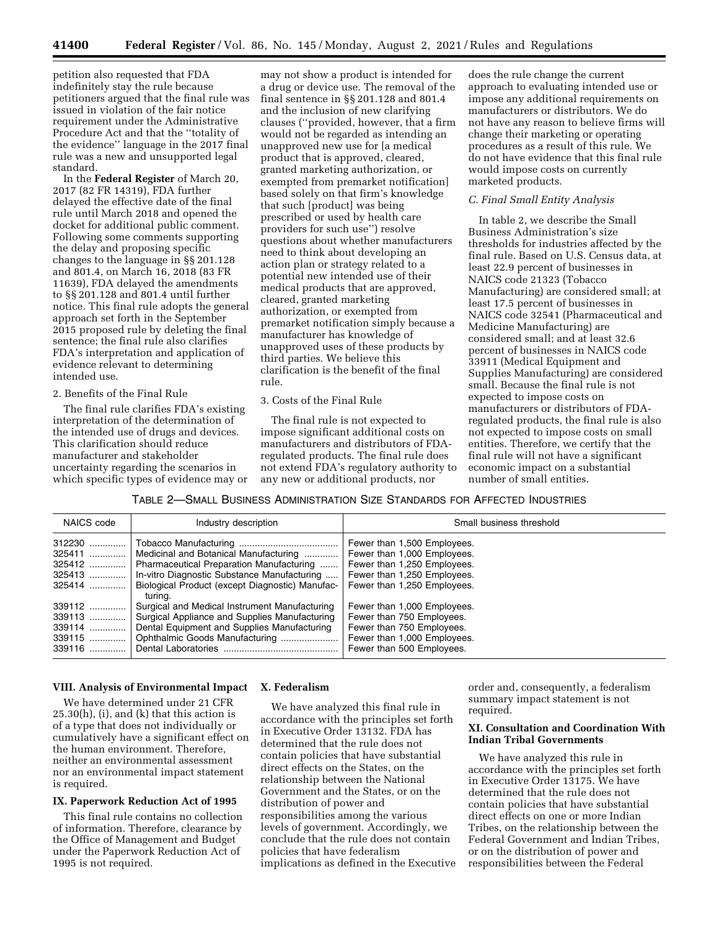petition also requested that FDA indefinitely stay the rule because petitioners argued that the final rule was issued in violation of the fair notice requirement under the Administrative Procedure Act and that the ''totality of the evidence'' language in the 2017 final rule was a new and unsupported legal standard.

In the **Federal Register** of March 20, 2017 (82 FR 14319), FDA further delayed the effective date of the final rule until March 2018 and opened the docket for additional public comment. Following some comments supporting the delay and proposing specific changes to the language in §§ 201.128 and 801.4, on March 16, 2018 (83 FR 11639), FDA delayed the amendments to §§ 201.128 and 801.4 until further notice. This final rule adopts the general approach set forth in the September 2015 proposed rule by deleting the final sentence; the final rule also clarifies FDA's interpretation and application of evidence relevant to determining intended use.

#### 2. Benefits of the Final Rule

The final rule clarifies FDA's existing interpretation of the determination of the intended use of drugs and devices. This clarification should reduce manufacturer and stakeholder uncertainty regarding the scenarios in which specific types of evidence may or

may not show a product is intended for a drug or device use. The removal of the final sentence in §§ 201.128 and 801.4 and the inclusion of new clarifying clauses (''provided, however, that a firm would not be regarded as intending an unapproved new use for [a medical product that is approved, cleared, granted marketing authorization, or exempted from premarket notification] based solely on that firm's knowledge that such [product] was being prescribed or used by health care providers for such use'') resolve questions about whether manufacturers need to think about developing an action plan or strategy related to a potential new intended use of their medical products that are approved, cleared, granted marketing authorization, or exempted from premarket notification simply because a manufacturer has knowledge of unapproved uses of these products by third parties. We believe this clarification is the benefit of the final rule.

#### 3. Costs of the Final Rule

The final rule is not expected to impose significant additional costs on manufacturers and distributors of FDAregulated products. The final rule does not extend FDA's regulatory authority to any new or additional products, nor

does the rule change the current approach to evaluating intended use or impose any additional requirements on manufacturers or distributors. We do not have any reason to believe firms will change their marketing or operating procedures as a result of this rule. We do not have evidence that this final rule would impose costs on currently marketed products.

#### *C. Final Small Entity Analysis*

In table 2, we describe the Small Business Administration's size thresholds for industries affected by the final rule. Based on U.S. Census data, at least 22.9 percent of businesses in NAICS code 21323 (Tobacco Manufacturing) are considered small; at least 17.5 percent of businesses in NAICS code 32541 (Pharmaceutical and Medicine Manufacturing) are considered small; and at least 32.6 percent of businesses in NAICS code 33911 (Medical Equipment and Supplies Manufacturing) are considered small. Because the final rule is not expected to impose costs on manufacturers or distributors of FDAregulated products, the final rule is also not expected to impose costs on small entities. Therefore, we certify that the final rule will not have a significant economic impact on a substantial number of small entities.

#### TABLE 2—SMALL BUSINESS ADMINISTRATION SIZE STANDARDS FOR AFFECTED INDUSTRIES

| NAICS code                                       | Industry description                                                                                                                                                                | Small business threshold                                                                                                                                |
|--------------------------------------------------|-------------------------------------------------------------------------------------------------------------------------------------------------------------------------------------|---------------------------------------------------------------------------------------------------------------------------------------------------------|
| 312230<br>325411<br>325412<br>325413<br>325414   | Medicinal and Botanical Manufacturing<br>Pharmaceutical Preparation Manufacturing<br>In-vitro Diagnostic Substance Manufacturing<br>Biological Product (except Diagnostic) Manufac- | Fewer than 1,500 Employees.<br>Fewer than 1,000 Employees.<br>Fewer than 1,250 Employees.<br>Fewer than 1,250 Employees.<br>Fewer than 1,250 Employees. |
| 339112<br>339113<br>339114<br>339115<br>$339116$ | turina.<br>Surgical and Medical Instrument Manufacturing<br>Surgical Appliance and Supplies Manufacturing<br>Dental Equipment and Supplies Manufacturing                            | Fewer than 1,000 Employees.<br>Fewer than 750 Employees.<br>Fewer than 750 Employees.<br>Fewer than 1,000 Employees.<br>Fewer than 500 Employees.       |

#### **VIII. Analysis of Environmental Impact X. Federalism**

We have determined under 21 CFR  $25.30(h)$ , (i), and (k) that this action is of a type that does not individually or cumulatively have a significant effect on the human environment. Therefore, neither an environmental assessment nor an environmental impact statement is required.

#### **IX. Paperwork Reduction Act of 1995**

This final rule contains no collection of information. Therefore, clearance by the Office of Management and Budget under the Paperwork Reduction Act of 1995 is not required.

We have analyzed this final rule in accordance with the principles set forth in Executive Order 13132. FDA has determined that the rule does not contain policies that have substantial direct effects on the States, on the relationship between the National Government and the States, or on the distribution of power and responsibilities among the various levels of government. Accordingly, we conclude that the rule does not contain policies that have federalism implications as defined in the Executive

order and, consequently, a federalism summary impact statement is not required.

#### **XI. Consultation and Coordination With Indian Tribal Governments**

We have analyzed this rule in accordance with the principles set forth in Executive Order 13175. We have determined that the rule does not contain policies that have substantial direct effects on one or more Indian Tribes, on the relationship between the Federal Government and Indian Tribes, or on the distribution of power and responsibilities between the Federal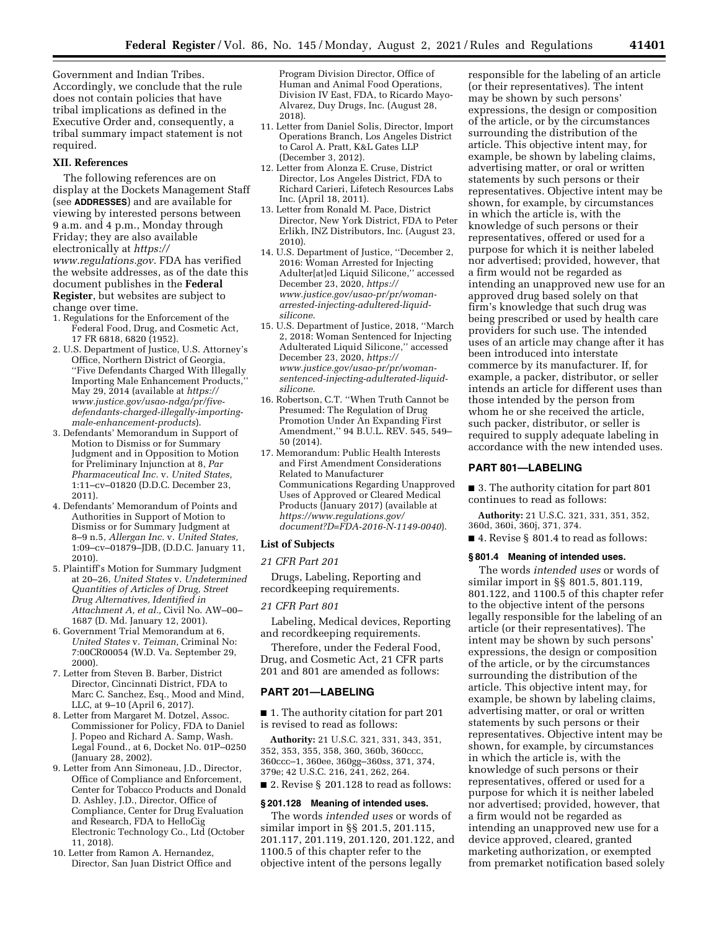Government and Indian Tribes. Accordingly, we conclude that the rule does not contain policies that have tribal implications as defined in the Executive Order and, consequently, a tribal summary impact statement is not required.

#### **XII. References**

The following references are on display at the Dockets Management Staff (see **ADDRESSES**) and are available for viewing by interested persons between 9 a.m. and 4 p.m., Monday through Friday; they are also available electronically at *[https://](https://www.regulations.gov) [www.regulations.gov](https://www.regulations.gov)*. FDA has verified the website addresses, as of the date this document publishes in the **Federal Register**, but websites are subject to change over time.

- 1. Regulations for the Enforcement of the Federal Food, Drug, and Cosmetic Act, 17 FR 6818, 6820 (1952).
- 2. U.S. Department of Justice, U.S. Attorney's Office, Northern District of Georgia, ''Five Defendants Charged With Illegally Importing Male Enhancement Products, May 29, 2014 (available at *[https://](https://www.justice.gov/usao-ndga/pr/five-defendants-charged-illegally-importing-male-enhancement-products) [www.justice.gov/usao-ndga/pr/five](https://www.justice.gov/usao-ndga/pr/five-defendants-charged-illegally-importing-male-enhancement-products)[defendants-charged-illegally-importing](https://www.justice.gov/usao-ndga/pr/five-defendants-charged-illegally-importing-male-enhancement-products)[male-enhancement-products](https://www.justice.gov/usao-ndga/pr/five-defendants-charged-illegally-importing-male-enhancement-products)*).
- 3. Defendants' Memorandum in Support of Motion to Dismiss or for Summary Judgment and in Opposition to Motion for Preliminary Injunction at 8, *Par Pharmaceutical Inc.* v. *United States,*  1:11–cv–01820 (D.D.C. December 23, 2011).
- 4. Defendants' Memorandum of Points and Authorities in Support of Motion to Dismiss or for Summary Judgment at 8–9 n.5, *Allergan Inc.* v. *United States,*  1:09–cv–01879–JDB, (D.D.C. January 11, 2010).
- 5. Plaintiff's Motion for Summary Judgment at 20–26, *United States* v. *Undetermined Quantities of Articles of Drug, Street Drug Alternatives, Identified in Attachment A, et al.,* Civil No. AW–00– 1687 (D. Md. January 12, 2001).
- 6. Government Trial Memorandum at 6, *United States* v. *Teiman,* Criminal No: 7:00CR00054 (W.D. Va. September 29, 2000).
- 7. Letter from Steven B. Barber, District Director, Cincinnati District, FDA to Marc C. Sanchez, Esq., Mood and Mind, LLC, at 9–10 (April 6, 2017).
- 8. Letter from Margaret M. Dotzel, Assoc. Commissioner for Policy, FDA to Daniel J. Popeo and Richard A. Samp, Wash. Legal Found., at 6, Docket No. 01P–0250 (January 28, 2002).
- 9. Letter from Ann Simoneau, J.D., Director, Office of Compliance and Enforcement, Center for Tobacco Products and Donald D. Ashley, J.D., Director, Office of Compliance, Center for Drug Evaluation and Research, FDA to HelloCig Electronic Technology Co., Ltd (October 11, 2018).
- 10. Letter from Ramon A. Hernandez, Director, San Juan District Office and

Program Division Director, Office of Human and Animal Food Operations, Division IV East, FDA, to Ricardo Mayo-Alvarez, Duy Drugs, Inc. (August 28, 2018).

- 11. Letter from Daniel Solis, Director, Import Operations Branch, Los Angeles District to Carol A. Pratt, K&L Gates LLP (December 3, 2012).
- 12. Letter from Alonza E. Cruse, District Director, Los Angeles District, FDA to Richard Carieri, Lifetech Resources Labs Inc. (April 18, 2011).
- 13. Letter from Ronald M. Pace, District Director, New York District, FDA to Peter Erlikh, INZ Distributors, Inc. (August 23, 2010).
- 14. U.S. Department of Justice, ''December 2, 2016: Woman Arrested for Injecting Adulter[at]ed Liquid Silicone,'' accessed December 23, 2020, *[https://](https://www.justice.gov/usao-pr/pr/woman-arrested-injecting-adultered-liquid-silicone) [www.justice.gov/usao-pr/pr/woman](https://www.justice.gov/usao-pr/pr/woman-arrested-injecting-adultered-liquid-silicone)arrested-injecting-adultered-liquid[silicone](https://www.justice.gov/usao-pr/pr/woman-arrested-injecting-adultered-liquid-silicone)*.
- 15. U.S. Department of Justice, 2018, ''March 2, 2018: Woman Sentenced for Injecting Adulterated Liquid Silicone,'' accessed December 23, 2020, *[https://](https://www.justice.gov/usao-pr/pr/woman-sentenced-injecting-adulterated-liquid-silicone) www.justice.gov/usao-pr/pr/woman[sentenced-injecting-adulterated-liquid](https://www.justice.gov/usao-pr/pr/woman-sentenced-injecting-adulterated-liquid-silicone)[silicone](https://www.justice.gov/usao-pr/pr/woman-sentenced-injecting-adulterated-liquid-silicone)*.
- 16. Robertson, C.T. ''When Truth Cannot be Presumed: The Regulation of Drug Promotion Under An Expanding First Amendment,'' 94 B.U.L. REV. 545, 549– 50 (2014).
- 17. Memorandum: Public Health Interests and First Amendment Considerations Related to Manufacturer Communications Regarding Unapproved Uses of Approved or Cleared Medical Products (January 2017) (available at *[https://www.regulations.gov/](https://www.regulations.gov/document?D=FDA-2016-N-1149-0040)  [document?D=FDA-2016-N-1149-0040](https://www.regulations.gov/document?D=FDA-2016-N-1149-0040)*).

#### **List of Subjects**

# *21 CFR Part 201*

Drugs, Labeling, Reporting and recordkeeping requirements.

#### *21 CFR Part 801*

Labeling, Medical devices, Reporting and recordkeeping requirements.

Therefore, under the Federal Food, Drug, and Cosmetic Act, 21 CFR parts 201 and 801 are amended as follows:

#### **PART 201—LABELING**

■ 1. The authority citation for part 201 is revised to read as follows:

**Authority:** 21 U.S.C. 321, 331, 343, 351, 352, 353, 355, 358, 360, 360b, 360ccc, 360ccc–1, 360ee, 360gg–360ss, 371, 374, 379e; 42 U.S.C. 216, 241, 262, 264. ■ 2. Revise § 201.128 to read as follows:

# **§ 201.128 Meaning of intended uses.**

The words *intended uses* or words of similar import in §§ 201.5, 201.115, 201.117, 201.119, 201.120, 201.122, and 1100.5 of this chapter refer to the objective intent of the persons legally

responsible for the labeling of an article (or their representatives). The intent may be shown by such persons' expressions, the design or composition of the article, or by the circumstances surrounding the distribution of the article. This objective intent may, for example, be shown by labeling claims, advertising matter, or oral or written statements by such persons or their representatives. Objective intent may be shown, for example, by circumstances in which the article is, with the knowledge of such persons or their representatives, offered or used for a purpose for which it is neither labeled nor advertised; provided, however, that a firm would not be regarded as intending an unapproved new use for an approved drug based solely on that firm's knowledge that such drug was being prescribed or used by health care providers for such use. The intended uses of an article may change after it has been introduced into interstate commerce by its manufacturer. If, for example, a packer, distributor, or seller intends an article for different uses than those intended by the person from whom he or she received the article, such packer, distributor, or seller is required to supply adequate labeling in accordance with the new intended uses.

#### **PART 801—LABELING**

■ 3. The authority citation for part 801 continues to read as follows:

**Authority:** 21 U.S.C. 321, 331, 351, 352, 360d, 360i, 360j, 371, 374.

■ 4. Revise § 801.4 to read as follows:

#### **§ 801.4 Meaning of intended uses.**

The words *intended uses* or words of similar import in §§ 801.5, 801.119, 801.122, and 1100.5 of this chapter refer to the objective intent of the persons legally responsible for the labeling of an article (or their representatives). The intent may be shown by such persons' expressions, the design or composition of the article, or by the circumstances surrounding the distribution of the article. This objective intent may, for example, be shown by labeling claims, advertising matter, or oral or written statements by such persons or their representatives. Objective intent may be shown, for example, by circumstances in which the article is, with the knowledge of such persons or their representatives, offered or used for a purpose for which it is neither labeled nor advertised; provided, however, that a firm would not be regarded as intending an unapproved new use for a device approved, cleared, granted marketing authorization, or exempted from premarket notification based solely